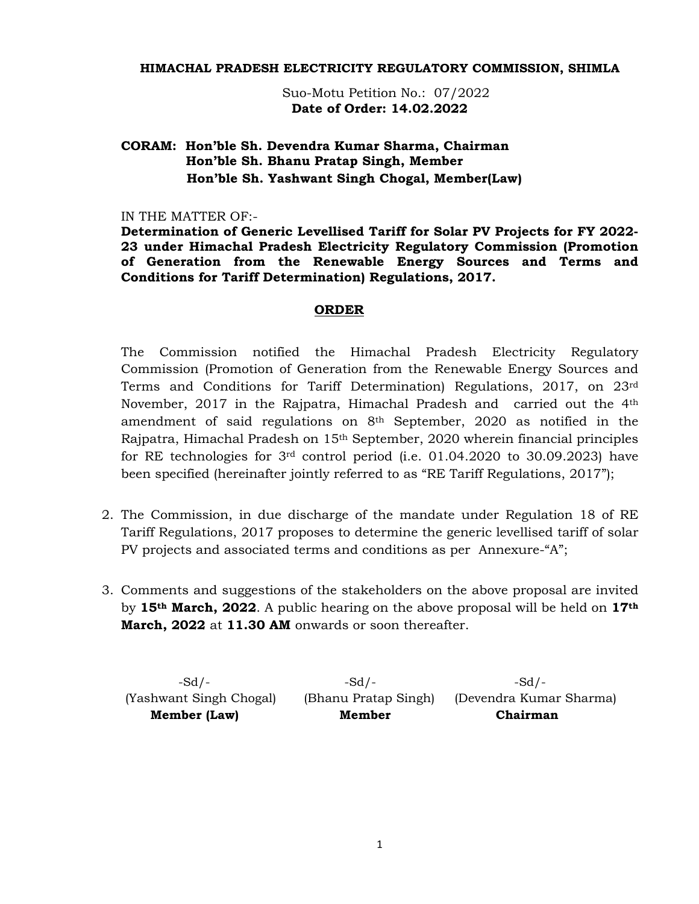#### **HIMACHAL PRADESH ELECTRICITY REGULATORY COMMISSION, SHIMLA**

 Suo-Motu Petition No.: 07/2022 **Date of Order: 14.02.2022** 

# **CORAM: Hon'ble Sh. Devendra Kumar Sharma, Chairman Hon'ble Sh. Bhanu Pratap Singh, Member Hon'ble Sh. Yashwant Singh Chogal, Member(Law)**

#### IN THE MATTER OF:-

**Determination of Generic Levellised Tariff for Solar PV Projects for FY 2022- 23 under Himachal Pradesh Electricity Regulatory Commission (Promotion of Generation from the Renewable Energy Sources and Terms and Conditions for Tariff Determination) Regulations, 2017.** 

#### **ORDER**

The Commission notified the Himachal Pradesh Electricity Regulatory Commission (Promotion of Generation from the Renewable Energy Sources and Terms and Conditions for Tariff Determination) Regulations, 2017, on 23rd November, 2017 in the Rajpatra, Himachal Pradesh and carried out the 4th amendment of said regulations on  $8<sup>th</sup>$  September, 2020 as notified in the Rajpatra, Himachal Pradesh on 15th September, 2020 wherein financial principles for RE technologies for 3rd control period (i.e. 01.04.2020 to 30.09.2023) have been specified (hereinafter jointly referred to as "RE Tariff Regulations, 2017");

- 2. The Commission, in due discharge of the mandate under Regulation 18 of RE Tariff Regulations, 2017 proposes to determine the generic levellised tariff of solar PV projects and associated terms and conditions as per Annexure-"A";
- 3. Comments and suggestions of the stakeholders on the above proposal are invited by **15th March, 2022**. A public hearing on the above proposal will be held on **17th March, 2022** at **11.30 AM** onwards or soon thereafter.

| $-Sd/$ -                | -Sd /-               | -Sd $\prime$ -          |
|-------------------------|----------------------|-------------------------|
| (Yashwant Singh Chogal) | (Bhanu Pratap Singh) | (Devendra Kumar Sharma) |
| Member (Law)            | Member               | Chairman                |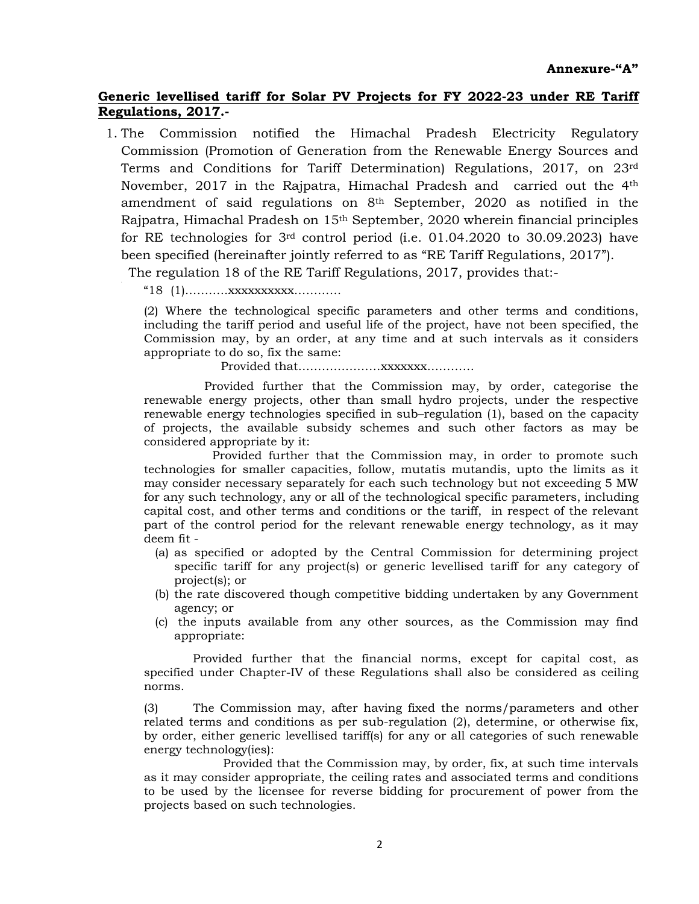# **Generic levellised tariff for Solar PV Projects for FY 2022-23 under RE Tariff Regulations, 2017.-**

1. The Commission notified the Himachal Pradesh Electricity Regulatory Commission (Promotion of Generation from the Renewable Energy Sources and Terms and Conditions for Tariff Determination) Regulations, 2017, on 23rd November, 2017 in the Rajpatra, Himachal Pradesh and carried out the 4th amendment of said regulations on  $8<sup>th</sup>$  September, 2020 as notified in the Rajpatra, Himachal Pradesh on 15th September, 2020 wherein financial principles for RE technologies for 3rd control period (i.e. 01.04.2020 to 30.09.2023) have been specified (hereinafter jointly referred to as "RE Tariff Regulations, 2017").

The regulation 18 of the RE Tariff Regulations, 2017, provides that:-

"18 (1)………..xxxxxxxxxx…………

(2) Where the technological specific parameters and other terms and conditions, including the tariff period and useful life of the project, have not been specified, the Commission may, by an order, at any time and at such intervals as it considers appropriate to do so, fix the same:

Provided that…………………xxxxxxx…………

 Provided further that the Commission may, by order, categorise the renewable energy projects, other than small hydro projects, under the respective renewable energy technologies specified in sub–regulation (1), based on the capacity of projects, the available subsidy schemes and such other factors as may be considered appropriate by it:

Provided further that the Commission may, in order to promote such technologies for smaller capacities, follow, mutatis mutandis, upto the limits as it may consider necessary separately for each such technology but not exceeding 5 MW for any such technology, any or all of the technological specific parameters, including capital cost, and other terms and conditions or the tariff, in respect of the relevant part of the control period for the relevant renewable energy technology, as it may deem fit -

- (a) as specified or adopted by the Central Commission for determining project specific tariff for any project(s) or generic levellised tariff for any category of project(s); or
- (b) the rate discovered though competitive bidding undertaken by any Government agency; or
- (c) the inputs available from any other sources, as the Commission may find appropriate:

 Provided further that the financial norms, except for capital cost, as specified under Chapter-IV of these Regulations shall also be considered as ceiling norms.

(3) The Commission may, after having fixed the norms/parameters and other related terms and conditions as per sub-regulation (2), determine, or otherwise fix, by order, either generic levellised tariff(s) for any or all categories of such renewable energy technology(ies):

 Provided that the Commission may, by order, fix, at such time intervals as it may consider appropriate, the ceiling rates and associated terms and conditions to be used by the licensee for reverse bidding for procurement of power from the projects based on such technologies.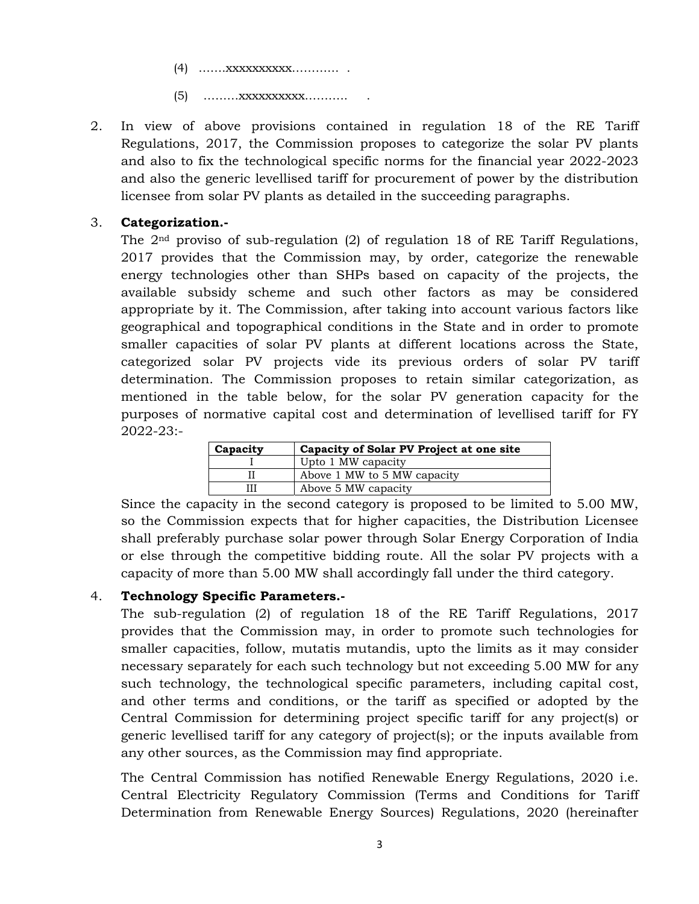(4) …….xxxxxxxxxx………… .

(5) ………xxxxxxxxxx……….. .

2. In view of above provisions contained in regulation 18 of the RE Tariff Regulations, 2017, the Commission proposes to categorize the solar PV plants and also to fix the technological specific norms for the financial year 2022-2023 and also the generic levellised tariff for procurement of power by the distribution licensee from solar PV plants as detailed in the succeeding paragraphs.

### 3. **Categorization.-**

The  $2<sup>nd</sup>$  proviso of sub-regulation (2) of regulation 18 of RE Tariff Regulations, 2017 provides that the Commission may, by order, categorize the renewable energy technologies other than SHPs based on capacity of the projects, the available subsidy scheme and such other factors as may be considered appropriate by it. The Commission, after taking into account various factors like geographical and topographical conditions in the State and in order to promote smaller capacities of solar PV plants at different locations across the State, categorized solar PV projects vide its previous orders of solar PV tariff determination. The Commission proposes to retain similar categorization, as mentioned in the table below, for the solar PV generation capacity for the purposes of normative capital cost and determination of levellised tariff for FY 2022-23:-

| Capacity | Capacity of Solar PV Project at one site |  |  |  |  |  |  |  |  |  |
|----------|------------------------------------------|--|--|--|--|--|--|--|--|--|
|          | Upto 1 MW capacity                       |  |  |  |  |  |  |  |  |  |
|          | Above 1 MW to 5 MW capacity              |  |  |  |  |  |  |  |  |  |
|          | Above 5 MW capacity                      |  |  |  |  |  |  |  |  |  |

Since the capacity in the second category is proposed to be limited to 5.00 MW, so the Commission expects that for higher capacities, the Distribution Licensee shall preferably purchase solar power through Solar Energy Corporation of India or else through the competitive bidding route. All the solar PV projects with a capacity of more than 5.00 MW shall accordingly fall under the third category.

### 4. **Technology Specific Parameters.-**

The sub-regulation (2) of regulation 18 of the RE Tariff Regulations, 2017 provides that the Commission may, in order to promote such technologies for smaller capacities, follow, mutatis mutandis, upto the limits as it may consider necessary separately for each such technology but not exceeding 5.00 MW for any such technology, the technological specific parameters, including capital cost, and other terms and conditions, or the tariff as specified or adopted by the Central Commission for determining project specific tariff for any project(s) or generic levellised tariff for any category of project(s); or the inputs available from any other sources, as the Commission may find appropriate.

The Central Commission has notified Renewable Energy Regulations, 2020 i.e. Central Electricity Regulatory Commission (Terms and Conditions for Tariff Determination from Renewable Energy Sources) Regulations, 2020 (hereinafter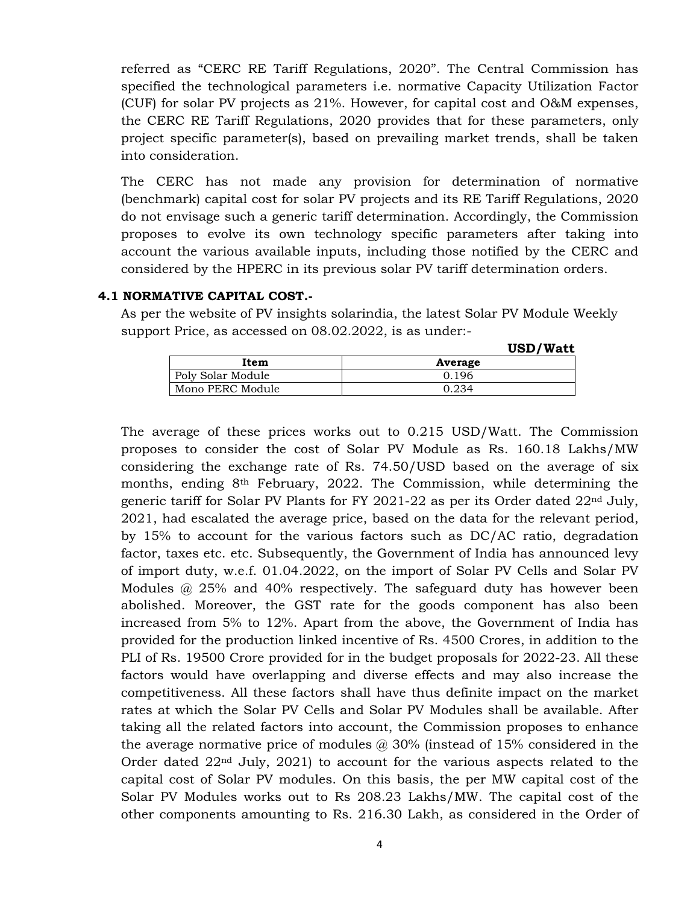referred as "CERC RE Tariff Regulations, 2020". The Central Commission has specified the technological parameters i.e. normative Capacity Utilization Factor (CUF) for solar PV projects as 21%. However, for capital cost and O&M expenses, the CERC RE Tariff Regulations, 2020 provides that for these parameters, only project specific parameter(s), based on prevailing market trends, shall be taken into consideration.

The CERC has not made any provision for determination of normative (benchmark) capital cost for solar PV projects and its RE Tariff Regulations, 2020 do not envisage such a generic tariff determination. Accordingly, the Commission proposes to evolve its own technology specific parameters after taking into account the various available inputs, including those notified by the CERC and considered by the HPERC in its previous solar PV tariff determination orders.

#### **4.1 NORMATIVE CAPITAL COST.-**

As per the website of PV insights solarindia, the latest Solar PV Module Weekly support Price, as accessed on 08.02.2022, is as under:-

**USD/Watt**

|                   | ----<br>------ |
|-------------------|----------------|
| Item              | Average        |
| Poly Solar Module | 0.196          |
| Mono PERC Module  | 0.234          |

The average of these prices works out to 0.215 USD/Watt. The Commission proposes to consider the cost of Solar PV Module as Rs. 160.18 Lakhs/MW considering the exchange rate of Rs. 74.50/USD based on the average of six months, ending 8th February, 2022. The Commission, while determining the generic tariff for Solar PV Plants for FY 2021-22 as per its Order dated  $22<sup>nd</sup>$  July, 2021, had escalated the average price, based on the data for the relevant period, by 15% to account for the various factors such as DC/AC ratio, degradation factor, taxes etc. etc. Subsequently, the Government of India has announced levy of import duty, w.e.f. 01.04.2022, on the import of Solar PV Cells and Solar PV Modules @ 25% and 40% respectively. The safeguard duty has however been abolished. Moreover, the GST rate for the goods component has also been increased from 5% to 12%. Apart from the above, the Government of India has provided for the production linked incentive of Rs. 4500 Crores, in addition to the PLI of Rs. 19500 Crore provided for in the budget proposals for 2022-23. All these factors would have overlapping and diverse effects and may also increase the competitiveness. All these factors shall have thus definite impact on the market rates at which the Solar PV Cells and Solar PV Modules shall be available. After taking all the related factors into account, the Commission proposes to enhance the average normative price of modules  $\omega$  30% (instead of 15% considered in the Order dated 22nd July, 2021) to account for the various aspects related to the capital cost of Solar PV modules. On this basis, the per MW capital cost of the Solar PV Modules works out to Rs 208.23 Lakhs/MW. The capital cost of the other components amounting to Rs. 216.30 Lakh, as considered in the Order of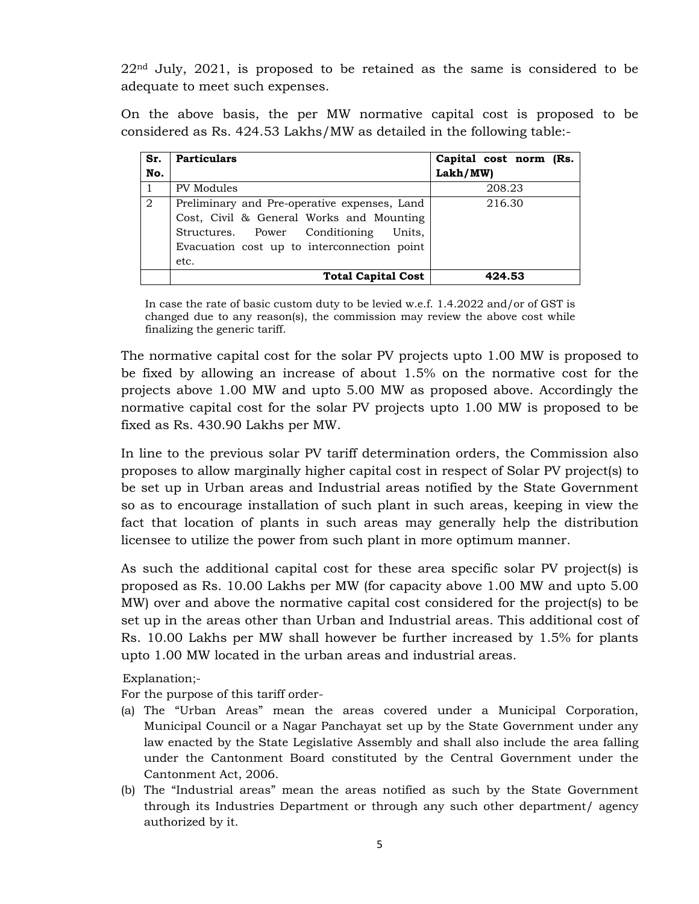$22<sup>nd</sup>$  July,  $2021$ , is proposed to be retained as the same is considered to be adequate to meet such expenses.

On the above basis, the per MW normative capital cost is proposed to be considered as Rs. 424.53 Lakhs/MW as detailed in the following table:-

| Sr. | <b>Particulars</b>                           | Capital cost norm (Rs. |
|-----|----------------------------------------------|------------------------|
| No. |                                              | Lakh/MW)               |
|     | PV Modules                                   | 208.23                 |
| 2   | Preliminary and Pre-operative expenses, Land | 216.30                 |
|     | Cost, Civil & General Works and Mounting     |                        |
|     | Structures. Power Conditioning Units.        |                        |
|     | Evacuation cost up to interconnection point  |                        |
|     | etc.                                         |                        |
|     | <b>Total Capital Cost</b>                    | 424.53                 |

In case the rate of basic custom duty to be levied w.e.f. 1.4.2022 and/or of GST is changed due to any reason(s), the commission may review the above cost while finalizing the generic tariff.

The normative capital cost for the solar PV projects upto 1.00 MW is proposed to be fixed by allowing an increase of about 1.5% on the normative cost for the projects above 1.00 MW and upto 5.00 MW as proposed above. Accordingly the normative capital cost for the solar PV projects upto 1.00 MW is proposed to be fixed as Rs. 430.90 Lakhs per MW.

 In line to the previous solar PV tariff determination orders, the Commission also proposes to allow marginally higher capital cost in respect of Solar PV project(s) to be set up in Urban areas and Industrial areas notified by the State Government so as to encourage installation of such plant in such areas, keeping in view the fact that location of plants in such areas may generally help the distribution licensee to utilize the power from such plant in more optimum manner.

 As such the additional capital cost for these area specific solar PV project(s) is proposed as Rs. 10.00 Lakhs per MW (for capacity above 1.00 MW and upto 5.00 MW) over and above the normative capital cost considered for the project(s) to be set up in the areas other than Urban and Industrial areas. This additional cost of Rs. 10.00 Lakhs per MW shall however be further increased by 1.5% for plants upto 1.00 MW located in the urban areas and industrial areas.

Explanation;-

For the purpose of this tariff order-

- (a) The "Urban Areas" mean the areas covered under a Municipal Corporation, Municipal Council or a Nagar Panchayat set up by the State Government under any law enacted by the State Legislative Assembly and shall also include the area falling under the Cantonment Board constituted by the Central Government under the Cantonment Act, 2006.
- (b) The "Industrial areas" mean the areas notified as such by the State Government through its Industries Department or through any such other department/ agency authorized by it.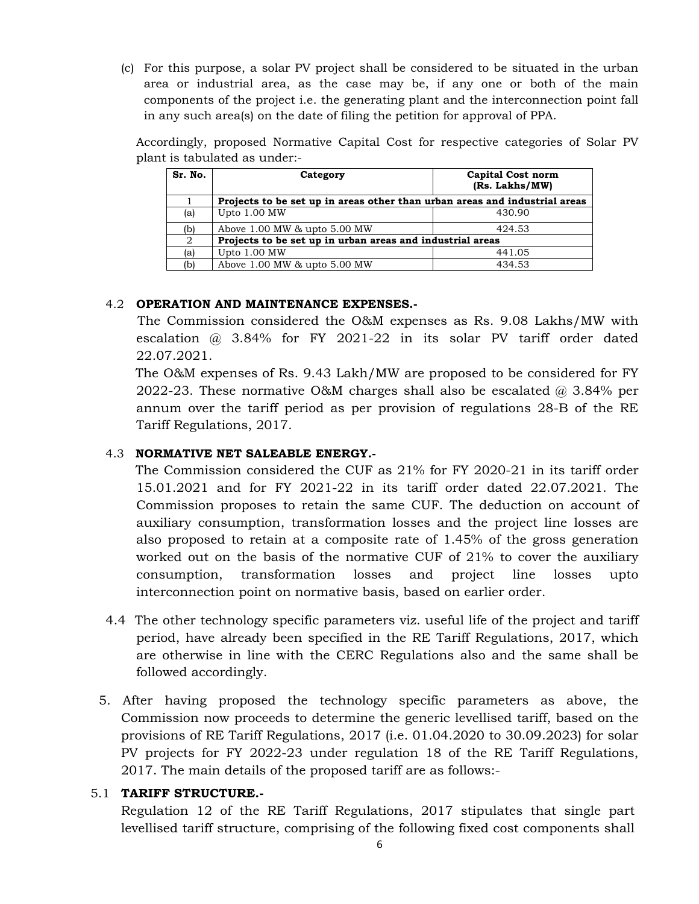(c) For this purpose, a solar PV project shall be considered to be situated in the urban area or industrial area, as the case may be, if any one or both of the main components of the project i.e. the generating plant and the interconnection point fall in any such area(s) on the date of filing the petition for approval of PPA.

Accordingly, proposed Normative Capital Cost for respective categories of Solar PV plant is tabulated as under:-

| Sr. No. | Category                                                                   | <b>Capital Cost norm</b><br>(Rs. Lakhs/MW) |
|---------|----------------------------------------------------------------------------|--------------------------------------------|
|         | Projects to be set up in areas other than urban areas and industrial areas |                                            |
| (a)     | Upto 1.00 MW                                                               | 430.90                                     |
| (b)     | Above 1.00 MW & upto 5.00 MW                                               | 424.53                                     |
| 2       | Projects to be set up in urban areas and industrial areas                  |                                            |
| (a)     | Upto 1.00 MW                                                               | 441.05                                     |
| (b)     | Above 1.00 MW & upto 5.00 MW                                               | 434.53                                     |

# 4.2 **OPERATION AND MAINTENANCE EXPENSES.-**

The Commission considered the O&M expenses as Rs. 9.08 Lakhs/MW with escalation @ 3.84% for FY 2021-22 in its solar PV tariff order dated 22.07.2021.

 The O&M expenses of Rs. 9.43 Lakh/MW are proposed to be considered for FY 2022-23. These normative O&M charges shall also be escalated  $\omega$  3.84% per annum over the tariff period as per provision of regulations 28-B of the RE Tariff Regulations, 2017.

# 4.3 **NORMATIVE NET SALEABLE ENERGY.-**

 The Commission considered the CUF as 21% for FY 2020-21 in its tariff order 15.01.2021 and for FY 2021-22 in its tariff order dated 22.07.2021. The Commission proposes to retain the same CUF. The deduction on account of auxiliary consumption, transformation losses and the project line losses are also proposed to retain at a composite rate of 1.45% of the gross generation worked out on the basis of the normative CUF of 21% to cover the auxiliary consumption, transformation losses and project line losses upto interconnection point on normative basis, based on earlier order.

- 4.4 The other technology specific parameters viz. useful life of the project and tariff period, have already been specified in the RE Tariff Regulations, 2017, which are otherwise in line with the CERC Regulations also and the same shall be followed accordingly.
- 5. After having proposed the technology specific parameters as above, the Commission now proceeds to determine the generic levellised tariff, based on the provisions of RE Tariff Regulations, 2017 (i.e. 01.04.2020 to 30.09.2023) for solar PV projects for FY 2022-23 under regulation 18 of the RE Tariff Regulations, 2017. The main details of the proposed tariff are as follows:-

### 5.1 **TARIFF STRUCTURE.-**

Regulation 12 of the RE Tariff Regulations, 2017 stipulates that single part levellised tariff structure, comprising of the following fixed cost components shall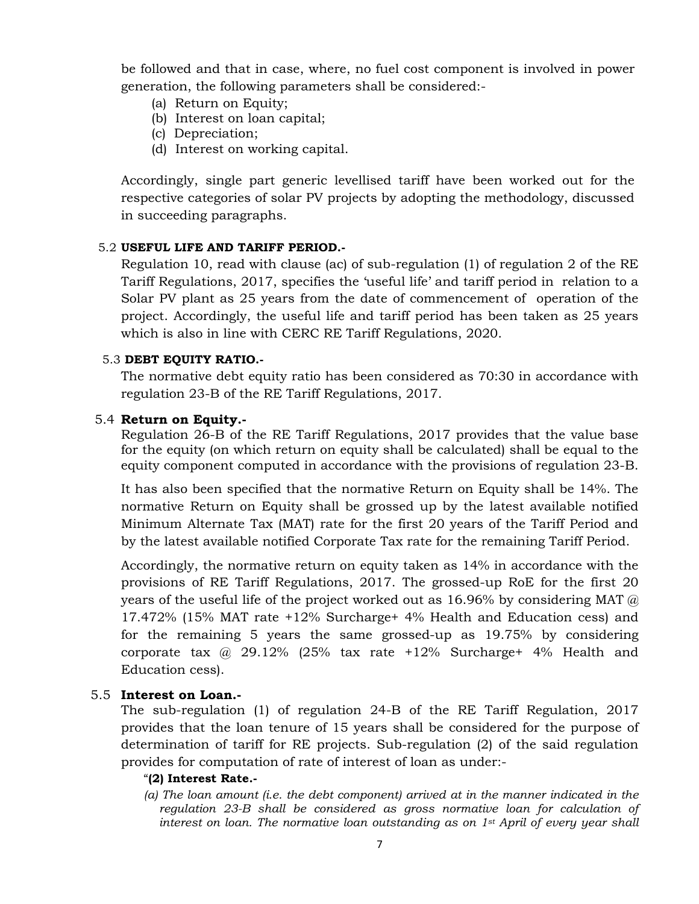be followed and that in case, where, no fuel cost component is involved in power generation, the following parameters shall be considered:-

- (a) Return on Equity;
- (b) Interest on loan capital;
- (c) Depreciation;
- (d) Interest on working capital.

Accordingly, single part generic levellised tariff have been worked out for the respective categories of solar PV projects by adopting the methodology, discussed in succeeding paragraphs.

### 5.2 **USEFUL LIFE AND TARIFF PERIOD.-**

Regulation 10, read with clause (ac) of sub-regulation (1) of regulation 2 of the RE Tariff Regulations, 2017, specifies the 'useful life' and tariff period in relation to a Solar PV plant as 25 years from the date of commencement of operation of the project. Accordingly, the useful life and tariff period has been taken as 25 years which is also in line with CERC RE Tariff Regulations, 2020.

### 5.3 **DEBT EQUITY RATIO.-**

The normative debt equity ratio has been considered as 70:30 in accordance with regulation 23-B of the RE Tariff Regulations, 2017.

### 5.4 **Return on Equity.-**

Regulation 26-B of the RE Tariff Regulations, 2017 provides that the value base for the equity (on which return on equity shall be calculated) shall be equal to the equity component computed in accordance with the provisions of regulation 23-B.

It has also been specified that the normative Return on Equity shall be 14%. The normative Return on Equity shall be grossed up by the latest available notified Minimum Alternate Tax (MAT) rate for the first 20 years of the Tariff Period and by the latest available notified Corporate Tax rate for the remaining Tariff Period.

Accordingly, the normative return on equity taken as 14% in accordance with the provisions of RE Tariff Regulations, 2017. The grossed-up RoE for the first 20 years of the useful life of the project worked out as 16.96% by considering MAT  $\omega$ 17.472% (15% MAT rate +12% Surcharge+ 4% Health and Education cess) and for the remaining 5 years the same grossed-up as 19.75% by considering corporate tax @ 29.12% (25% tax rate +12% Surcharge+ 4% Health and Education cess).

### 5.5 **Interest on Loan.-**

 The sub-regulation (1) of regulation 24-B of the RE Tariff Regulation, 2017 provides that the loan tenure of 15 years shall be considered for the purpose of determination of tariff for RE projects. Sub-regulation (2) of the said regulation provides for computation of rate of interest of loan as under:-

### "**(2) Interest Rate.-**

*(a) The loan amount (i.e. the debt component) arrived at in the manner indicated in the regulation 23-B shall be considered as gross normative loan for calculation of interest on loan. The normative loan outstanding as on 1st April of every year shall*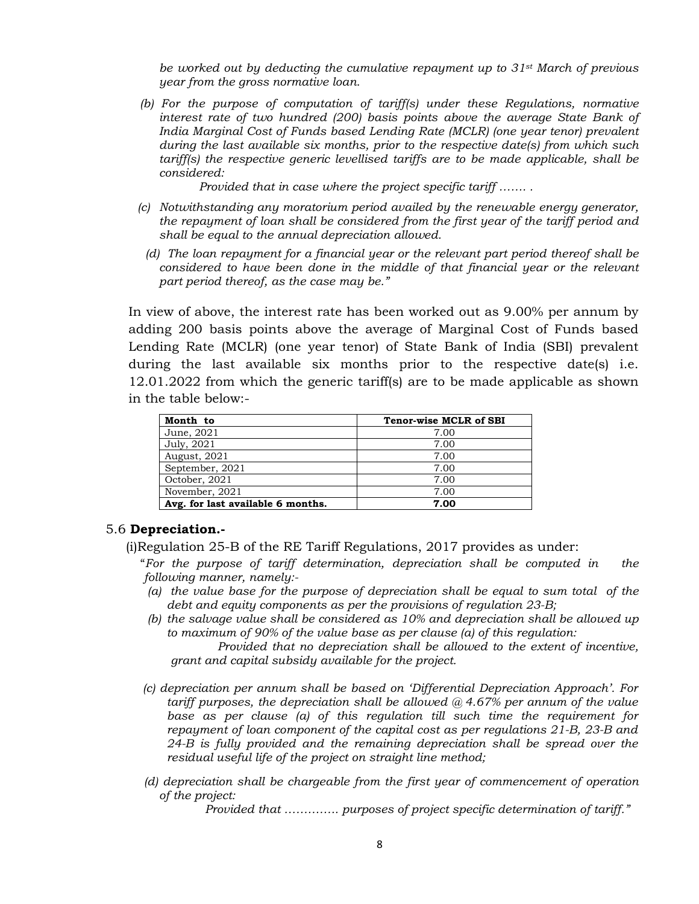*be worked out by deducting the cumulative repayment up to 31st March of previous year from the gross normative loan.* 

 *(b) For the purpose of computation of tariff(s) under these Regulations, normative interest rate of two hundred (200) basis points above the average State Bank of India Marginal Cost of Funds based Lending Rate (MCLR) (one year tenor) prevalent during the last available six months, prior to the respective date(s) from which such tariff(s) the respective generic levellised tariffs are to be made applicable, shall be considered:* 

 *Provided that in case where the project specific tariff ……. .* 

- *(c) Notwithstanding any moratorium period availed by the renewable energy generator, the repayment of loan shall be considered from the first year of the tariff period and shall be equal to the annual depreciation allowed.* 
	- *(d) The loan repayment for a financial year or the relevant part period thereof shall be considered to have been done in the middle of that financial year or the relevant part period thereof, as the case may be."*

 In view of above, the interest rate has been worked out as 9.00% per annum by adding 200 basis points above the average of Marginal Cost of Funds based Lending Rate (MCLR) (one year tenor) of State Bank of India (SBI) prevalent during the last available six months prior to the respective date(s) i.e. 12.01.2022 from which the generic tariff(s) are to be made applicable as shown in the table below:-

| Month to                          | <b>Tenor-wise MCLR of SBI</b> |
|-----------------------------------|-------------------------------|
| June, 2021                        | 7.00                          |
| July, 2021                        | 7.00                          |
| August, 2021                      | 7.00                          |
| September, 2021                   | 7.00                          |
| October, 2021                     | 7.00                          |
| November, 2021                    | 7.00                          |
| Avg. for last available 6 months. | 7.00                          |

#### 5.6 **Depreciation.-**

(i)Regulation 25-B of the RE Tariff Regulations, 2017 provides as under:

"*For the purpose of tariff determination, depreciation shall be computed in the following manner, namely:-* 

- *(a) the value base for the purpose of depreciation shall be equal to sum total of the debt and equity components as per the provisions of regulation 23-B;*
- *(b) the salvage value shall be considered as 10% and depreciation shall be allowed up to maximum of 90% of the value base as per clause (a) of this regulation: Provided that no depreciation shall be allowed to the extent of incentive,*

*grant and capital subsidy available for the project.* 

- *(c) depreciation per annum shall be based on 'Differential Depreciation Approach'. For tariff purposes, the depreciation shall be allowed @ 4.67% per annum of the value*  base as per clause (a) of this regulation till such time the requirement for *repayment of loan component of the capital cost as per regulations 21-B, 23-B and 24-B is fully provided and the remaining depreciation shall be spread over the residual useful life of the project on straight line method;*
- *(d) depreciation shall be chargeable from the first year of commencement of operation of the project:*

*Provided that ………….. purposes of project specific determination of tariff."*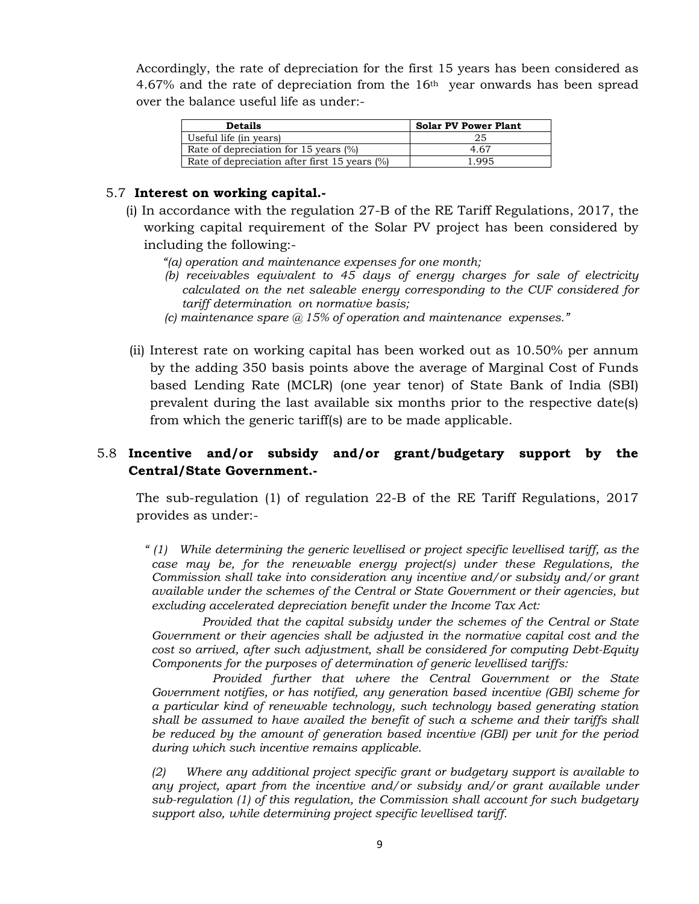Accordingly, the rate of depreciation for the first 15 years has been considered as 4.67% and the rate of depreciation from the 16th year onwards has been spread over the balance useful life as under:-

| <b>Details</b>                                | <b>Solar PV Power Plant</b> |
|-----------------------------------------------|-----------------------------|
| Useful life (in years)                        | 25                          |
| Rate of depreciation for 15 years $(\%)$      | 4 67                        |
| Rate of depreciation after first 15 years (%) | 1.995                       |

### 5.7 **Interest on working capital.-**

- (i) In accordance with the regulation 27-B of the RE Tariff Regulations, 2017, the working capital requirement of the Solar PV project has been considered by including the following:-
	- *"(a) operation and maintenance expenses for one month;*
	- *(b) receivables equivalent to 45 days of energy charges for sale of electricity calculated on the net saleable energy corresponding to the CUF considered for tariff determination on normative basis;*
	- *(c) maintenance spare @ 15% of operation and maintenance expenses."*
- (ii) Interest rate on working capital has been worked out as 10.50% per annum by the adding 350 basis points above the average of Marginal Cost of Funds based Lending Rate (MCLR) (one year tenor) of State Bank of India (SBI) prevalent during the last available six months prior to the respective date(s) from which the generic tariff(s) are to be made applicable.

# 5.8 **Incentive and/or subsidy and/or grant/budgetary support by the Central/State Government.-**

The sub-regulation (1) of regulation 22-B of the RE Tariff Regulations, 2017 provides as under:-

*" (1) While determining the generic levellised or project specific levellised tariff, as the case may be, for the renewable energy project(s) under these Regulations, the Commission shall take into consideration any incentive and/or subsidy and/or grant available under the schemes of the Central or State Government or their agencies, but excluding accelerated depreciation benefit under the Income Tax Act: Provided that the capital subsidy under the schemes of the Central or State* 

*Government or their agencies shall be adjusted in the normative capital cost and the cost so arrived, after such adjustment, shall be considered for computing Debt-Equity Components for the purposes of determination of generic levellised tariffs:* 

*Provided further that where the Central Government or the State Government notifies, or has notified, any generation based incentive (GBI) scheme for a particular kind of renewable technology, such technology based generating station shall be assumed to have availed the benefit of such a scheme and their tariffs shall be reduced by the amount of generation based incentive (GBI) per unit for the period during which such incentive remains applicable.* 

*(2) Where any additional project specific grant or budgetary support is available to any project, apart from the incentive and/or subsidy and/or grant available under sub-regulation (1) of this regulation, the Commission shall account for such budgetary support also, while determining project specific levellised tariff.*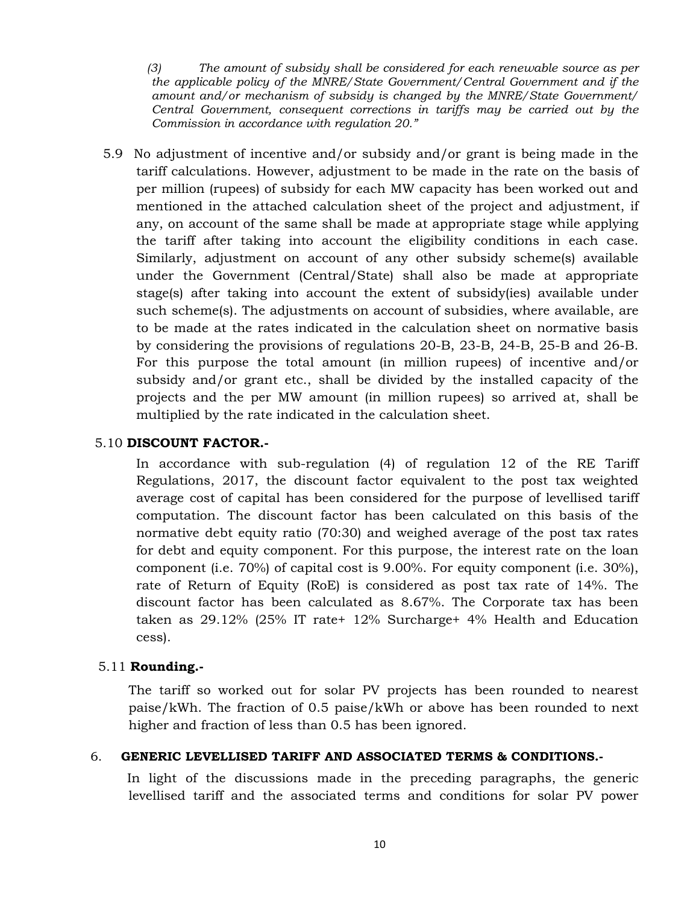*(3) The amount of subsidy shall be considered for each renewable source as per the applicable policy of the MNRE/State Government/Central Government and if the amount and/or mechanism of subsidy is changed by the MNRE/State Government/ Central Government, consequent corrections in tariffs may be carried out by the Commission in accordance with regulation 20."* 

 5.9 No adjustment of incentive and/or subsidy and/or grant is being made in the tariff calculations. However, adjustment to be made in the rate on the basis of per million (rupees) of subsidy for each MW capacity has been worked out and mentioned in the attached calculation sheet of the project and adjustment, if any, on account of the same shall be made at appropriate stage while applying the tariff after taking into account the eligibility conditions in each case. Similarly, adjustment on account of any other subsidy scheme(s) available under the Government (Central/State) shall also be made at appropriate stage(s) after taking into account the extent of subsidy(ies) available under such scheme(s). The adjustments on account of subsidies, where available, are to be made at the rates indicated in the calculation sheet on normative basis by considering the provisions of regulations 20-B, 23-B, 24-B, 25-B and 26-B. For this purpose the total amount (in million rupees) of incentive and/or subsidy and/or grant etc., shall be divided by the installed capacity of the projects and the per MW amount (in million rupees) so arrived at, shall be multiplied by the rate indicated in the calculation sheet.

### 5.10 **DISCOUNT FACTOR.-**

In accordance with sub-regulation (4) of regulation 12 of the RE Tariff Regulations, 2017, the discount factor equivalent to the post tax weighted average cost of capital has been considered for the purpose of levellised tariff computation. The discount factor has been calculated on this basis of the normative debt equity ratio (70:30) and weighed average of the post tax rates for debt and equity component. For this purpose, the interest rate on the loan component (i.e. 70%) of capital cost is 9.00%. For equity component (i.e. 30%), rate of Return of Equity (RoE) is considered as post tax rate of 14%. The discount factor has been calculated as 8.67%. The Corporate tax has been taken as 29.12% (25% IT rate+ 12% Surcharge+ 4% Health and Education cess).

# 5.11 **Rounding.-**

The tariff so worked out for solar PV projects has been rounded to nearest paise/kWh. The fraction of 0.5 paise/kWh or above has been rounded to next higher and fraction of less than 0.5 has been ignored.

### 6. **GENERIC LEVELLISED TARIFF AND ASSOCIATED TERMS & CONDITIONS.-**

 In light of the discussions made in the preceding paragraphs, the generic levellised tariff and the associated terms and conditions for solar PV power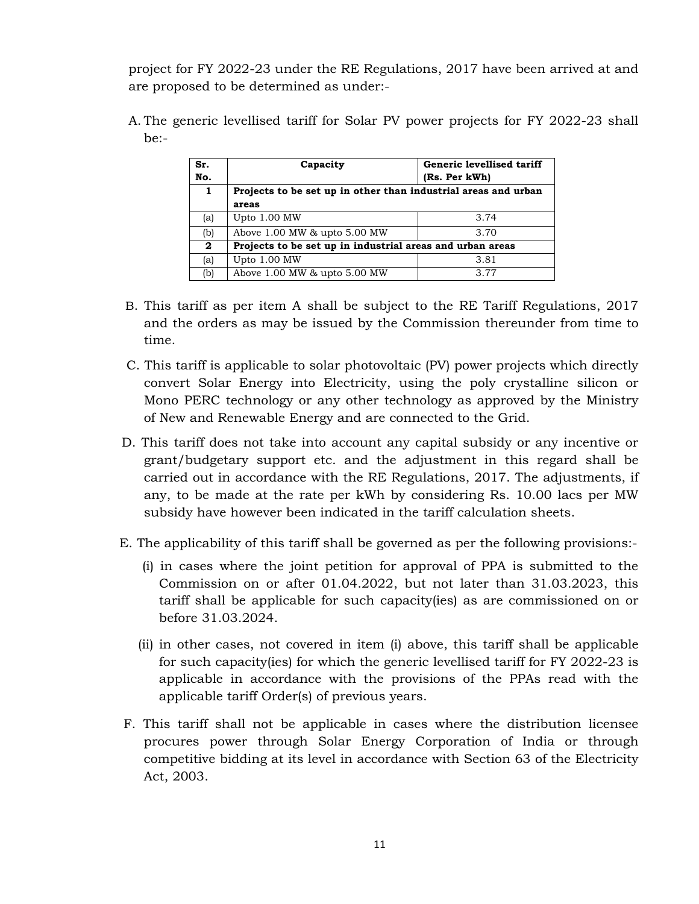project for FY 2022-23 under the RE Regulations, 2017 have been arrived at and are proposed to be determined as under:-

A. The generic levellised tariff for Solar PV power projects for FY 2022-23 shall be:-

| Sr.<br>No.   | Capacity                                                       | Generic levellised tariff<br>(Rs. Per kWh) |  |  |  |  |  |  |  |  |  |  |  |  |
|--------------|----------------------------------------------------------------|--------------------------------------------|--|--|--|--|--|--|--|--|--|--|--|--|
| 1            | Projects to be set up in other than industrial areas and urban |                                            |  |  |  |  |  |  |  |  |  |  |  |  |
|              | areas                                                          |                                            |  |  |  |  |  |  |  |  |  |  |  |  |
| (a)          | Upto 1.00 MW                                                   | 3.74                                       |  |  |  |  |  |  |  |  |  |  |  |  |
| (b)          | Above 1.00 MW & upto 5.00 MW                                   | 3.70                                       |  |  |  |  |  |  |  |  |  |  |  |  |
| $\mathbf{2}$ | Projects to be set up in industrial areas and urban areas      |                                            |  |  |  |  |  |  |  |  |  |  |  |  |
| (a)          | Upto 1.00 MW                                                   | 3.81                                       |  |  |  |  |  |  |  |  |  |  |  |  |
| (b)          | Above 1.00 MW & upto 5.00 MW                                   | 3.77                                       |  |  |  |  |  |  |  |  |  |  |  |  |

- B. This tariff as per item A shall be subject to the RE Tariff Regulations, 2017 and the orders as may be issued by the Commission thereunder from time to time.
- C. This tariff is applicable to solar photovoltaic (PV) power projects which directly convert Solar Energy into Electricity, using the poly crystalline silicon or Mono PERC technology or any other technology as approved by the Ministry of New and Renewable Energy and are connected to the Grid.
- D. This tariff does not take into account any capital subsidy or any incentive or grant/budgetary support etc. and the adjustment in this regard shall be carried out in accordance with the RE Regulations, 2017. The adjustments, if any, to be made at the rate per kWh by considering Rs. 10.00 lacs per MW subsidy have however been indicated in the tariff calculation sheets.
- E. The applicability of this tariff shall be governed as per the following provisions:-
	- (i) in cases where the joint petition for approval of PPA is submitted to the Commission on or after 01.04.2022, but not later than 31.03.2023, this tariff shall be applicable for such capacity(ies) as are commissioned on or before 31.03.2024.
	- (ii) in other cases, not covered in item (i) above, this tariff shall be applicable for such capacity(ies) for which the generic levellised tariff for FY 2022-23 is applicable in accordance with the provisions of the PPAs read with the applicable tariff Order(s) of previous years.
- F. This tariff shall not be applicable in cases where the distribution licensee procures power through Solar Energy Corporation of India or through competitive bidding at its level in accordance with Section 63 of the Electricity Act, 2003.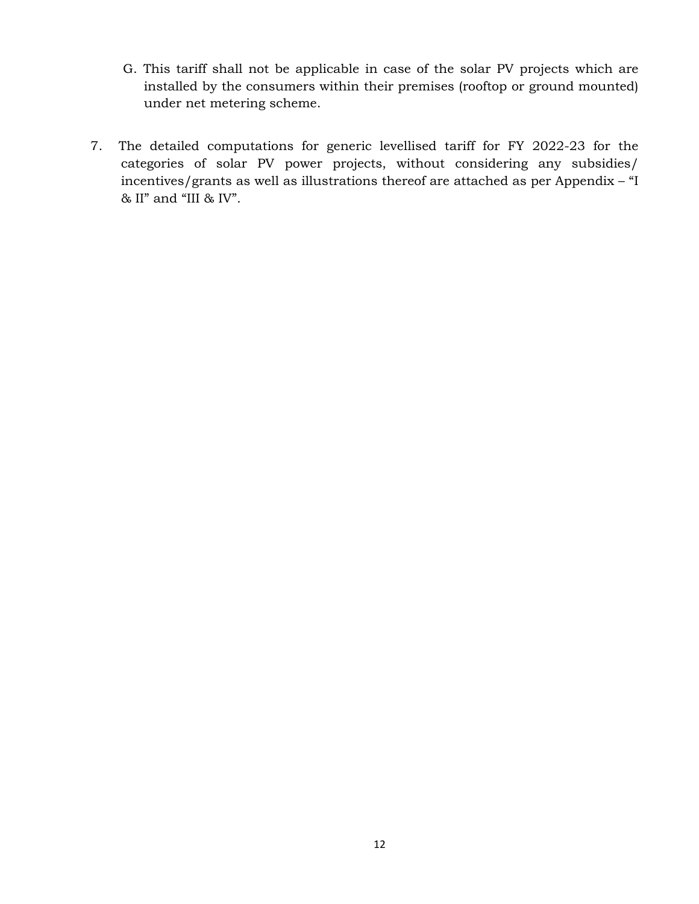- G. This tariff shall not be applicable in case of the solar PV projects which are installed by the consumers within their premises (rooftop or ground mounted) under net metering scheme.
- 7. The detailed computations for generic levellised tariff for FY 2022-23 for the categories of solar PV power projects, without considering any subsidies/ incentives/grants as well as illustrations thereof are attached as per Appendix – "I  $\&$  II" and "III  $\&$  IV".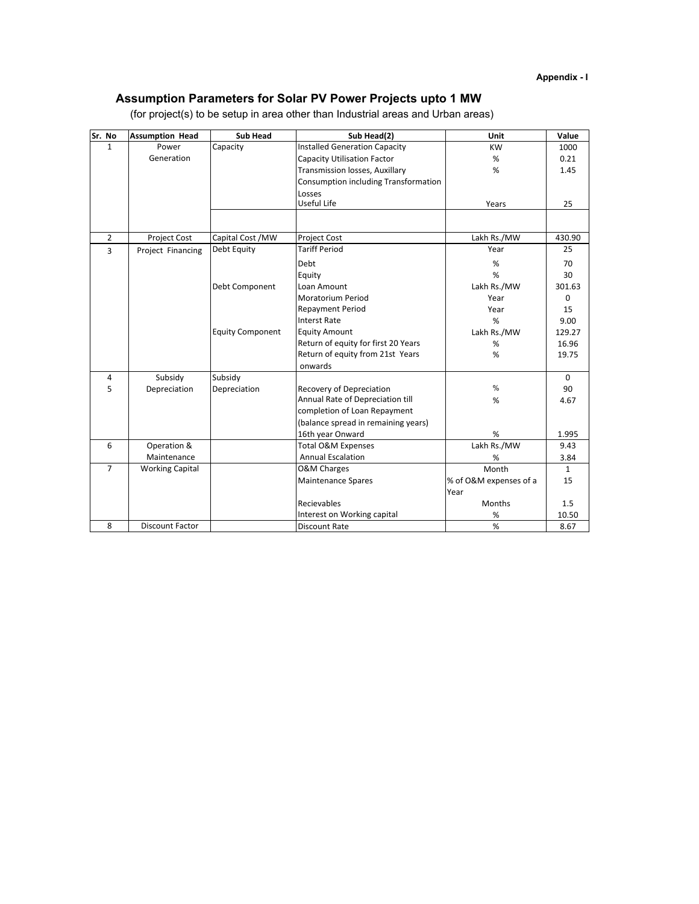# **Assumption Parameters for Solar PV Power Projects upto 1 MW**

| Sr. No         | <b>Assumption Head</b> | <b>Sub Head</b>         | Sub Head(2)                           | Unit                   | Value        |
|----------------|------------------------|-------------------------|---------------------------------------|------------------------|--------------|
| $\mathbf{1}$   | Power                  | Capacity                | <b>Installed Generation Capacity</b>  | <b>KW</b>              | 1000         |
|                | Generation             |                         | <b>Capacity Utilisation Factor</b>    | %                      | 0.21         |
|                |                        |                         | <b>Transmission losses, Auxillary</b> | %                      | 1.45         |
|                |                        |                         | Consumption including Transformation  |                        |              |
|                |                        |                         | Losses                                |                        |              |
|                |                        |                         | Useful Life                           | Years                  | 25           |
|                |                        |                         |                                       |                        |              |
| $\overline{2}$ | <b>Project Cost</b>    | Capital Cost /MW        | <b>Project Cost</b>                   | Lakh Rs./MW            | 430.90       |
| $\overline{3}$ | Project Financing      | Debt Equity             | <b>Tariff Period</b>                  | Year                   | 25           |
|                |                        |                         | Debt                                  | %                      | 70           |
|                |                        |                         | Equity                                | %                      | 30           |
|                |                        | Debt Component          | Loan Amount                           | Lakh Rs./MW            | 301.63       |
|                |                        |                         | <b>Moratorium Period</b>              | Year                   | 0            |
|                |                        |                         | <b>Repayment Period</b>               | Year                   | 15           |
|                |                        |                         | <b>Interst Rate</b>                   | %                      | 9.00         |
|                |                        | <b>Equity Component</b> | <b>Equity Amount</b>                  | Lakh Rs./MW            | 129.27       |
|                |                        |                         | Return of equity for first 20 Years   | %                      | 16.96        |
|                |                        |                         | Return of equity from 21st Years      | %                      | 19.75        |
|                |                        |                         | onwards                               |                        |              |
| 4              | Subsidy                | Subsidy                 |                                       |                        | 0            |
| 5              | Depreciation           | Depreciation            | <b>Recovery of Depreciation</b>       | $\%$                   | 90           |
|                |                        |                         | Annual Rate of Depreciation till      | %                      | 4.67         |
|                |                        |                         | completion of Loan Repayment          |                        |              |
|                |                        |                         | (balance spread in remaining years)   |                        |              |
|                |                        |                         | 16th year Onward                      | %                      | 1.995        |
| 6              | Operation &            |                         | Total O&M Expenses                    | Lakh Rs./MW            | 9.43         |
|                | Maintenance            |                         | <b>Annual Escalation</b>              | %                      | 3.84         |
| $\overline{7}$ | <b>Working Capital</b> |                         | <b>O&amp;M Charges</b>                | Month                  | $\mathbf{1}$ |
|                |                        |                         | <b>Maintenance Spares</b>             | % of O&M expenses of a | 15           |
|                |                        |                         |                                       | Year                   |              |
|                |                        |                         | Recievables                           | <b>Months</b>          | 1.5          |
|                |                        |                         | Interest on Working capital           | $\%$                   | 10.50        |
| 8              | <b>Discount Factor</b> |                         | <b>Discount Rate</b>                  | %                      | 8.67         |

(for project(s) to be setup in area other than Industrial areas and Urban areas)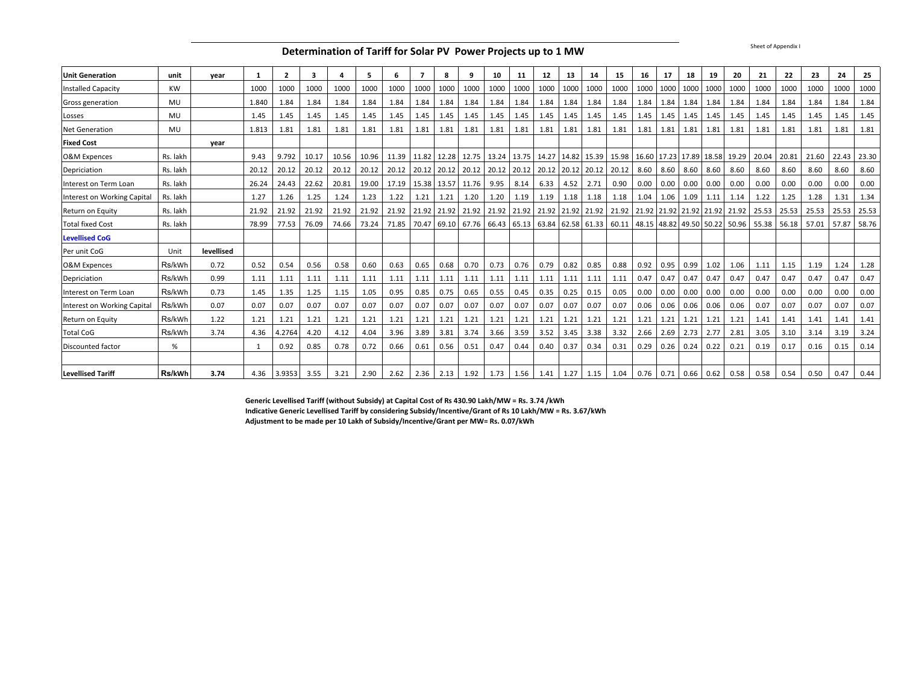**Determination of Tariff for Solar PV Power Projects up to 1 MW**

| <b>Unit Generation</b>      | unit      | year       | -1    | $\mathbf{2}$ | 3     |       | 5     | 6     | 7           | 8     | 9                | 10   | 11   | 12          | 13   | 14        | 15                                                                            | 16   | 17            | 18                    | 19   | 20                            | 21                                                                                                            | 22    | 23    | 24    | 25    |
|-----------------------------|-----------|------------|-------|--------------|-------|-------|-------|-------|-------------|-------|------------------|------|------|-------------|------|-----------|-------------------------------------------------------------------------------|------|---------------|-----------------------|------|-------------------------------|---------------------------------------------------------------------------------------------------------------|-------|-------|-------|-------|
| <b>Installed Capacity</b>   | <b>KW</b> |            | 1000  | 1000         | 1000  | 1000  | 1000  | 1000  | 1000        | 1000  | 1000             | 1000 | 1000 | 1000        | 1000 | 1000      | 1000                                                                          | 1000 | 1000          | 1000                  | 1000 | 1000                          | 1000                                                                                                          | 1000  | 1000  | 1000  | 1000  |
| Gross generation            | MU        |            | 1.840 | 1.84         | 1.84  | 1.84  | 1.84  | 1.84  | 1.84        | 1.84  | 1.84             | 1.84 | 1.84 | 1.84        | 1.84 | 1.84      | 1.84                                                                          | 1.84 | 1.84          | 1.84                  | 1.84 | 1.84                          | 1.84                                                                                                          | 1.84  | 1.84  | 1.84  | 1.84  |
| Losses                      | MU        |            | 1.45  | 1.45         | 1.45  | 1.45  | 1.45  | 1.45  | 1.45        | 1.45  | 1.45             | 1.45 | 1.45 | 1.45        | 1.45 | 1.45      | 1.45                                                                          | 1.45 | 1.45          | 1.45                  | 1.45 | 1.45                          | 1.45                                                                                                          | 1.45  | 1.45  | 1.45  | 1.45  |
| <b>Net Generation</b>       | MU        |            | 1.813 | 1.81         | 1.81  | 1.81  | 1.81  | 1.81  | 1.81        | 1.81  | 1.81             | 1.81 | 1.81 | 1.81        | 1.81 | 1.81      | 1.81                                                                          | 1.81 | 1.81          | 1.81                  | 1.81 | 1.81                          | 1.81                                                                                                          | 1.81  | 1.81  | 1.81  | 1.81  |
| <b>Fixed Cost</b>           |           | vear       |       |              |       |       |       |       |             |       |                  |      |      |             |      |           |                                                                               |      |               |                       |      |                               |                                                                                                               |       |       |       |       |
| O&M Expences                | Rs. lakh  |            | 9.43  | 9.792        | 10.17 | 10.56 | 10.96 |       | 11.39 11.82 | 12.28 |                  |      |      |             |      |           | 12.75   13.24   13.75   14.27   14.82   15.39   15.98                         |      |               |                       |      | 16.60 17.23 17.89 18.58 19.29 | 20.04                                                                                                         | 20.81 | 21.60 | 22.43 | 23.30 |
| Depriciation                | Rs. lakh  |            | 20.12 | 20.12        | 20.12 | 20.12 | 20.12 | 20.12 |             |       |                  |      |      |             |      |           | 20.12   20.12   20.12   20.12   20.12   20.12   20.12   20.12   20.12         |      | 8.60 8.60     | 8.60                  | 8.60 | 8.60                          | 8.60                                                                                                          | 8.60  | 8.60  | 8.60  | 8.60  |
| Interest on Term Loan       | Rs. lakh  |            | 26.24 | 24.43        | 22.62 | 20.81 | 19.00 |       | 17.19 15.38 |       | 13.57 11.76 9.95 |      | 8.14 | 6.33        | 4.52 | 2.71      | 0.90                                                                          |      | $0.00 \ 0.00$ | 0.00                  | 0.00 | 0.00                          | 0.00                                                                                                          | 0.00  | 0.00  | 0.00  | 0.00  |
| Interest on Working Capital | Rs. lakh  |            | 1.27  | 1.26         | 1.25  | 1.24  | 1.23  | 1.22  | 1.21        | 1.21  | 1.20             | 1.20 | 1.19 | 1.19        | 1.18 | 1.18      | 1.18                                                                          | 1.04 | 1.06          | 1.09                  | 1.11 | 1.14                          | 1.22                                                                                                          | 1.25  | 1.28  | 1.31  | 1.34  |
| Return on Equity            | Rs. lakh  |            | 21.92 | 21.92        | 21.92 | 21.92 | 21.92 |       | 21.92 21.92 | 21.92 |                  |      |      |             |      |           | 21.92 21.92 21.92 21.92 21.92 21.92 21.92 21.92 21.92 21.92 21.92 21.92 21.92 |      |               |                       |      |                               | 25.53                                                                                                         | 25.53 | 25.53 | 25.53 | 25.53 |
| <b>Total fixed Cost</b>     | Rs. lakh  |            | 78.99 | 77.53        | 76.09 | 74.66 | 73.24 | 71.85 | 70.47       | 69.10 |                  |      |      |             |      |           |                                                                               |      |               |                       |      |                               | 67.76   66.43   65.13   63.84   62.58   61.33   60.11   48.15   48.82   49.50   50.22   50.96   55.38   56.18 |       | 57.01 | 57.87 | 58.76 |
| <b>Levellised CoG</b>       |           |            |       |              |       |       |       |       |             |       |                  |      |      |             |      |           |                                                                               |      |               |                       |      |                               |                                                                                                               |       |       |       |       |
| Per unit CoG                | Unit      | levellised |       |              |       |       |       |       |             |       |                  |      |      |             |      |           |                                                                               |      |               |                       |      |                               |                                                                                                               |       |       |       |       |
| O&M Expences                | Rs/kWh    | 0.72       | 0.52  | 0.54         | 0.56  | 0.58  | 0.60  | 0.63  | 0.65        | 0.68  | 0.70             | 0.73 | 0.76 | 0.79        | 0.82 | 0.85      | 0.88                                                                          | 0.92 | 0.95          | 0.99                  | 1.02 | 1.06                          | 1.11                                                                                                          | 1.15  | 1.19  | 1.24  | 1.28  |
| Depriciation                | Rs/kWh    | 0.99       | 1.11  | 1.11         | 1.11  | 1.11  | 1.11  | 1.11  | 1.11        | 1.11  | 1.11             | 1.11 | 1.11 | 1.11        | 1.11 | 1.11      | 1.11                                                                          | 0.47 | 0.47          | 0.47                  | 0.47 | 0.47                          | 0.47                                                                                                          | 0.47  | 0.47  | 0.47  | 0.47  |
| Interest on Term Loan       | Rs/kWh    | 0.73       | 1.45  | 1.35         | 1.25  | 1.15  | 1.05  | 0.95  | 0.85        | 0.75  | 0.65             | 0.55 | 0.45 | 0.35        | 0.25 | 0.15      | 0.05                                                                          | 0.00 | 0.00          | 0.00                  | 0.00 | 0.00                          | 0.00                                                                                                          | 0.00  | 0.00  | 0.00  | 0.00  |
| Interest on Working Capital | Rs/kWh    | 0.07       | 0.07  | 0.07         | 0.07  | 0.07  | 0.07  | 0.07  | 0.07        | 0.07  | 0.07             | 0.07 | 0.07 | 0.07        | 0.07 | 0.07      | 0.07                                                                          |      | $0.06$ 0.06   | 0.06                  | 0.06 | 0.06                          | 0.07                                                                                                          | 0.07  | 0.07  | 0.07  | 0.07  |
| Return on Equity            | Rs/kWh    | 1.22       | 1.21  | 1.21         | 1.21  | 1.21  | 1.21  | 1.21  | 1.21        | 1.21  | 1.21             | 1.21 | 1.21 | 1.21        | 1.21 | 1.21      | 1.21                                                                          | 1.21 | 1.21          | 1.21                  | 1.21 | 1.21                          | 1.41                                                                                                          | 1.41  | 1.41  | 1.41  | 1.41  |
| <b>Total CoG</b>            | Rs/kWh    | 3.74       | 4.36  | 4.2764       | 4.20  | 4.12  | 4.04  | 3.96  | 3.89        | 3.81  | 3.74             | 3.66 | 3.59 | 3.52        | 3.45 | 3.38      | 3.32                                                                          | 2.66 | 2.69          | 2.73                  | 2.77 | 2.81                          | 3.05                                                                                                          | 3.10  | 3.14  | 3.19  | 3.24  |
| Discounted factor           | %         |            |       | 0.92         | 0.85  | 0.78  | 0.72  | 0.66  | 0.61        | 0.56  | 0.51             | 0.47 | 0.44 | 0.40        | 0.37 | 0.34      | 0.31                                                                          |      | $0.29$ 0.26   | 0.24                  | 0.22 | 0.21                          | 0.19                                                                                                          | 0.17  | 0.16  | 0.15  | 0.14  |
|                             |           |            |       |              |       |       |       |       |             |       |                  |      |      |             |      |           |                                                                               |      |               |                       |      |                               |                                                                                                               |       |       |       |       |
| <b>Levellised Tariff</b>    | Rs/kWh    | 3.74       | 4.36  | 3.9353       | 3.55  | 3.21  | 2.90  | 2.62  | 2.36        |       | $2.13$ 1.92      | 1.73 |      | $1.56$ 1.41 |      | 1.27 1.15 | 1.04                                                                          |      |               | $0.76$ 0.71 0.66 0.62 |      | 0.58                          | 0.58                                                                                                          | 0.54  | 0.50  | 0.47  | 0.44  |

**Generic Levellised Tariff (without Subsidy) at Capital Cost of Rs 430.90 Lakh/MW = Rs. 3.74 /kWh Indicative Generic Levellised Tariff by considering Subsidy/Incentive/Grant of Rs 10 Lakh/MW = Rs. 3.67/kWh Adjustment to be made per 10 Lakh of Subsidy/Incentive/Grant per MW= Rs. 0.07/kWh**

Sheet of Appendix I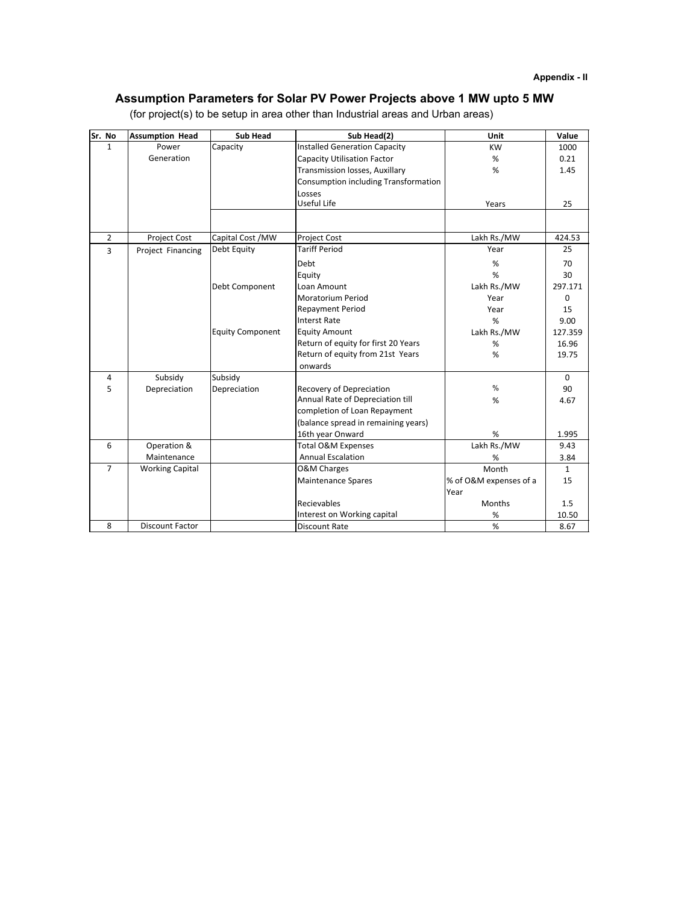# **Assumption Parameters for Solar PV Power Projects above 1 MW upto 5 MW**

| Sr. No         | <b>Assumption Head</b> | <b>Sub Head</b>         | Sub Head(2)                          | Unit                   | Value        |
|----------------|------------------------|-------------------------|--------------------------------------|------------------------|--------------|
| $\mathbf{1}$   | Power                  | Capacity                | <b>Installed Generation Capacity</b> | <b>KW</b>              | 1000         |
|                | Generation             |                         | <b>Capacity Utilisation Factor</b>   | %                      | 0.21         |
|                |                        |                         | Transmission losses, Auxillary       | %                      | 1.45         |
|                |                        |                         | Consumption including Transformation |                        |              |
|                |                        |                         | Losses                               |                        |              |
|                |                        |                         | Useful Life                          | Years                  | 25           |
|                |                        |                         |                                      |                        |              |
| $\overline{2}$ | Project Cost           | Capital Cost /MW        | <b>Project Cost</b>                  | Lakh Rs./MW            | 424.53       |
| 3              | Project Financing      | Debt Equity             | <b>Tariff Period</b>                 | Year                   | 25           |
|                |                        |                         | Debt                                 | %                      | 70           |
|                |                        |                         | Equity                               | %                      | 30           |
|                |                        | Debt Component          | Loan Amount                          | Lakh Rs./MW            | 297.171      |
|                |                        |                         | <b>Moratorium Period</b>             | Year                   | $\Omega$     |
|                |                        |                         | <b>Repayment Period</b>              | Year                   | 15           |
|                |                        |                         | <b>Interst Rate</b>                  | %                      | 9.00         |
|                |                        | <b>Equity Component</b> | <b>Equity Amount</b>                 | Lakh Rs./MW            | 127.359      |
|                |                        |                         | Return of equity for first 20 Years  | %                      | 16.96        |
|                |                        |                         | Return of equity from 21st Years     | %                      | 19.75        |
|                |                        |                         | onwards                              |                        |              |
| 4              | Subsidy                | Subsidy                 |                                      |                        | $\Omega$     |
| 5              | Depreciation           | Depreciation            | Recovery of Depreciation             | %                      | 90           |
|                |                        |                         | Annual Rate of Depreciation till     | %                      | 4.67         |
|                |                        |                         | completion of Loan Repayment         |                        |              |
|                |                        |                         | (balance spread in remaining years)  |                        |              |
|                |                        |                         | 16th year Onward                     | %                      | 1.995        |
| 6              | Operation &            |                         | Total O&M Expenses                   | Lakh Rs./MW            | 9.43         |
|                | Maintenance            |                         | <b>Annual Escalation</b>             | %                      | 3.84         |
| $\overline{7}$ | <b>Working Capital</b> |                         | <b>O&amp;M Charges</b>               | Month                  | $\mathbf{1}$ |
|                |                        |                         | <b>Maintenance Spares</b>            | % of O&M expenses of a | 15           |
|                |                        |                         |                                      | Year                   |              |
|                |                        |                         | Recievables                          | Months                 | 1.5          |
|                |                        |                         | Interest on Working capital          | $\%$                   | 10.50        |
| 8              | <b>Discount Factor</b> |                         | <b>Discount Rate</b>                 | %                      | 8.67         |

(for project(s) to be setup in area other than Industrial areas and Urban areas)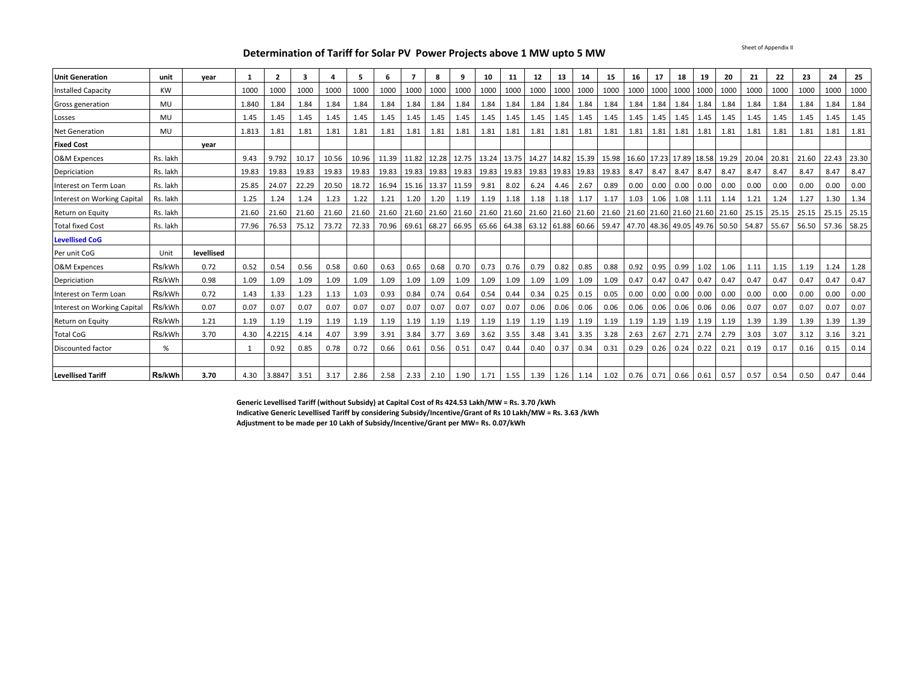Sheet of Appendix II

#### **Determination of Tariff for Solar PV Power Projects above 1 MW upto 5 MW**

| <b>Unit Generation</b>      | unit      | vear       |       | $\overline{2}$ | 3     |       | 5     | 6     |             | 8           | 9     | 10                                  | 11        | 12          | 13        | 14                | 15                                                                | 16   | 17                    | 18   | 19   | -20                                 | 21    | 22    | 23    | 24          | 25    |
|-----------------------------|-----------|------------|-------|----------------|-------|-------|-------|-------|-------------|-------------|-------|-------------------------------------|-----------|-------------|-----------|-------------------|-------------------------------------------------------------------|------|-----------------------|------|------|-------------------------------------|-------|-------|-------|-------------|-------|
| <b>Installed Capacity</b>   | <b>KW</b> |            | 1000  | 1000           | 1000  | 1000  | 1000  | 1000  | 1000        | 1000        | 1000  | 1000                                | 1000      |             | 1000 1000 | 1000              | 1000                                                              | 1000 | 1000                  | 1000 | 1000 | 1000                                | 1000  | 1000  | 1000  | 1000        | 1000  |
| Gross generation            | <b>MU</b> |            | 1.840 | 1.84           | 1.84  | 1.84  | 1.84  | 1.84  | 1.84        | 1.84        | 1.84  | 1.84                                | 1.84      | 1.84        | 1.84      | 1.84              | 1.84                                                              | 1.84 | 1.84                  | 1.84 | 1.84 | 1.84                                | 1.84  | 1.84  | 1.84  | 1.84        | 1.84  |
| Losses                      | <b>MU</b> |            | 1.45  | 1.45           | 1.45  | 1.45  | 1.45  | 1.45  | 1.45        | 1.45        | 1.45  | 1.45                                | 1.45      | 1.45        | 1.45      | 1.45              | 1.45                                                              | 1.45 | 1.45                  | 1.45 | 1.45 | 1.45                                | 1.45  | 1.45  | 1.45  | 1.45        | 1.45  |
| <b>Net Generation</b>       | MU        |            | 1.813 | 1.81           | 1.81  | 1.81  | 1.81  | 1.81  | 1.81        | 1.81        | 1.81  | 1.81                                | 1.81      | 1.81        | 1.81      | 1.81              | 1.81                                                              | 1.81 | 1.81                  | 1.81 | 1.81 | 1.81                                | 1.81  | 1.81  | 1.81  | 1.81        | 1.81  |
| <b>Fixed Cost</b>           |           | vear       |       |                |       |       |       |       |             |             |       |                                     |           |             |           |                   |                                                                   |      |                       |      |      |                                     |       |       |       |             |       |
| <b>O&amp;M Expences</b>     | Rs. lakh  |            | 9.43  | 9.792          | 10.17 | 10.56 | 10.96 | 11.39 |             | 11.82 12.28 |       | 12.75 13.24 13.75                   |           |             |           |                   | 14.27 14.82 15.39 15.98                                           |      |                       |      |      | 16.60 17.23 17.89 18.58 19.29       | 20.04 | 20.81 | 21.60 | 22.43       | 23.30 |
| Depriciation                | Rs. lakh  |            | 19.83 | 19.83          | 19.83 | 19.83 | 19.83 | 19.83 | 19.83 19.83 |             | 19.83 | 19.83 19.83                         |           |             |           | 19.83 19.83 19.83 | 19.83                                                             | 8.47 | 8.47                  | 8.47 | 8.47 | 8.47                                | 8.47  | 8.47  | 8.47  | 8.47        | 8.47  |
| Interest on Term Loan       | Rs. lakh  |            | 25.85 | 24.07          | 22.29 | 20.50 | 18.72 | 16.94 | 15.16 13.37 |             | 11.59 | 9.81                                | 8.02      | 6.24        | 4.46      | 2.67              | 0.89                                                              | 0.00 | 0.00                  | 0.00 | 0.00 | 0.00                                | 0.00  | 0.00  | 0.00  | 0.00        | 0.00  |
| Interest on Working Capital | Rs. lakh  |            | 1.25  | 1.24           | 1.24  | 1.23  | 1.22  | 1.21  | 1.20        | 1.20        | 1.19  | 1.19                                | 1.18      | $1.18$ 1.18 |           | 1.17              | 1.17                                                              | 1.03 | 1.06                  | 1.08 | 1.11 | 1.14                                | 1.21  | 1.24  | 1.27  | 1.30        | 1.34  |
| Return on Equity            | Rs. lakh  |            | 21.60 | 21.60          | 21.60 | 21.60 | 21.60 |       |             |             |       | 21.60 21.60 21.60 21.60 21.60 21.60 |           |             |           |                   | 21.60 21.60 21.60 21.60 21.60 21.60 21.60 21.60 21.60 21.60 25.15 |      |                       |      |      |                                     |       | 25.15 | 25.15 | 25.15       | 25.15 |
| <b>Total fixed Cost</b>     | Rs. lakh  |            | 77.96 | 76.53          | 75.12 | 73.72 | 72.33 | 70.96 | 69.61 68.27 |             |       | 66.95 65.66 64.38                   |           |             |           |                   | 63.12 61.88 60.66 59.47                                           |      |                       |      |      | 47.70 48.36 49.05 49.76 50.50 54.87 |       | 55.67 |       | 56.50 57.36 | 58.25 |
| <b>Levellised CoG</b>       |           |            |       |                |       |       |       |       |             |             |       |                                     |           |             |           |                   |                                                                   |      |                       |      |      |                                     |       |       |       |             |       |
| Per unit CoG                | Unit      | levellised |       |                |       |       |       |       |             |             |       |                                     |           |             |           |                   |                                                                   |      |                       |      |      |                                     |       |       |       |             |       |
| <b>O&amp;M Expences</b>     | Rs/kWh    | 0.72       | 0.52  | 0.54           | 0.56  | 0.58  | 0.60  | 0.63  | 0.65        | 0.68        | 0.70  | 0.73                                | 0.76      | 0.79        | 0.82      | 0.85              | 0.88                                                              | 0.92 | 0.95                  | 0.99 | 1.02 | 1.06                                | 1.11  | 1.15  | 1.19  | 1.24        | 1.28  |
| Depriciation                | Rs/kWh    | 0.98       | 1.09  | 1.09           | 1.09  | 1.09  | 1.09  | 1.09  | 1.09        | 1.09        | 1.09  | 1.09                                | 1.09      | 1.09        | 1.09      | 1.09              | 1.09                                                              | 0.47 | 0.47                  | 0.47 | 0.47 | 0.47                                | 0.47  | 0.47  | 0.47  | 0.47        | 0.47  |
| Interest on Term Loan       | Rs/kWh    | 0.72       | 1.43  | 1.33           | 1.23  | 1.13  | 1.03  | 0.93  | 0.84        | 0.74        | 0.64  | 0.54                                | 0.44      | 0.34        | 0.25      | 0.15              | 0.05                                                              | 0.00 | 0.00                  | 0.00 | 0.00 | 0.00                                | 0.00  | 0.00  | 0.00  | 0.00        | 0.00  |
| Interest on Working Capital | Rs/kWh    | 0.07       | 0.07  | 0.07           | 0.07  | 0.07  | 0.07  | 0.07  | 0.07        | 0.07        | 0.07  | 0.07                                | 0.07      | 0.06        | 0.06      | 0.06              | 0.06                                                              | 0.06 | 0.06                  | 0.06 | 0.06 | 0.06                                | 0.07  | 0.07  | 0.07  | 0.07        | 0.07  |
| Return on Equity            | Rs/kWh    | 1.21       | 1.19  | 1.19           | 1.19  | 1.19  | 1.19  | 1.19  | 1.19        | 1.19        | 1.19  | 1.19                                | 1.19      | 1.19        | 1.19      | 1.19              | 1.19                                                              | 1.19 | 1.19                  | 1.19 | 1.19 | 1.19                                | 1.39  | 1.39  | 1.39  | 1.39        | 1.39  |
| <b>Total CoG</b>            | Rs/kWh    | 3.70       | 4.30  | 4.2215         | 4.14  | 4.07  | 3.99  | 3.91  | 3.84        | 3.77        | 3.69  | 3.62                                | 3.55      | 3.48        | 3.41      | 3.35              | 3.28                                                              | 2.63 | 2.67                  | 2.71 | 2.74 | 2.79                                | 3.03  | 3.07  | 3.12  | 3.16        | 3.21  |
| Discounted factor           | %         |            |       | 0.92           | 0.85  | 0.78  | 0.72  | 0.66  | 0.61        | 0.56        | 0.51  | 0.47                                | 0.44      | 0.40        | 0.37      | 0.34              | 0.31                                                              | 0.29 | 0.26                  | 0.24 | 0.22 | 0.21                                | 0.19  | 0.17  | 0.16  | 0.15        | 0.14  |
|                             |           |            |       |                |       |       |       |       |             |             |       |                                     |           |             |           |                   |                                                                   |      |                       |      |      |                                     |       |       |       |             |       |
| <b>Levellised Tariff</b>    | Rs/kWh    | 3.70       | 4.30  | 3.8847         | 3.51  | 3.17  | 2.86  | 2.58  | 2.33        | 2.10        | 1.90  |                                     | 1.71 1.55 | $1.39$ 1.26 |           | 1.14              | 1.02                                                              |      | $0.76$ 0.71 0.66 0.61 |      |      | 0.57                                | 0.57  | 0.54  | 0.50  | 0.47        | 0.44  |

**Generic Levellised Tariff (without Subsidy) at Capital Cost of Rs 424.53 Lakh/MW = Rs. 3.70 /kWh Indicative Generic Levellised Tariff by considering Subsidy/Incentive/Grant of Rs 10 Lakh/MW = Rs. 3.63 /kWh**

**Adjustment to be made per 10 Lakh of Subsidy/Incentive/Grant per MW= Rs. 0.07/kWh**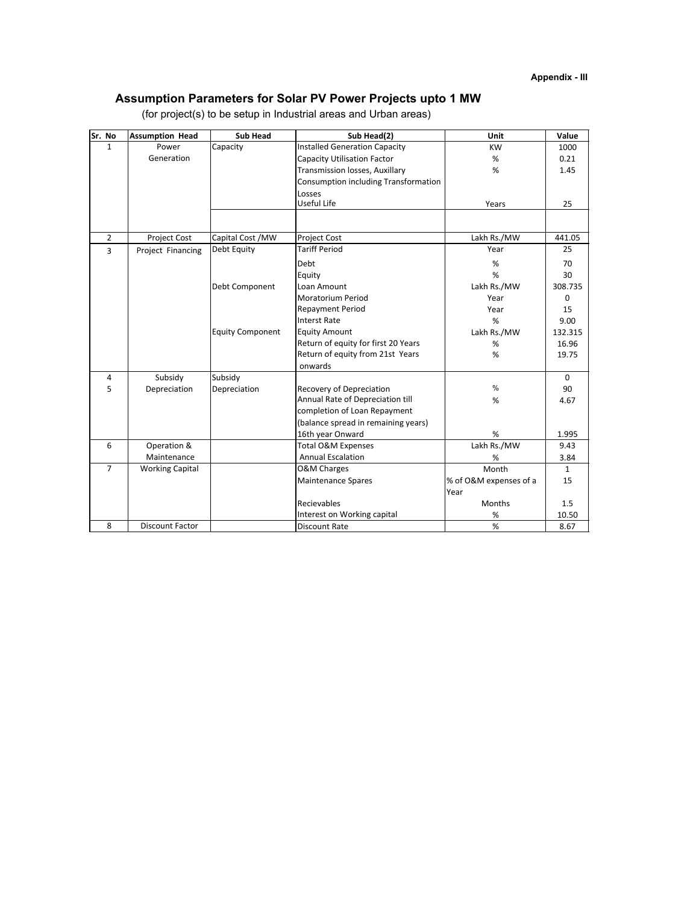# **Assumption Parameters for Solar PV Power Projects upto 1 MW**

| Sr. No         | <b>Assumption Head</b> | <b>Sub Head</b>         | Sub Head(2)                          | Unit                   | Value        |
|----------------|------------------------|-------------------------|--------------------------------------|------------------------|--------------|
| $\mathbf{1}$   | Power                  | Capacity                | <b>Installed Generation Capacity</b> | <b>KW</b>              | 1000         |
|                | Generation             |                         | <b>Capacity Utilisation Factor</b>   | %                      | 0.21         |
|                |                        |                         | Transmission losses, Auxillary       | %                      | 1.45         |
|                |                        |                         | Consumption including Transformation |                        |              |
|                |                        |                         | Losses                               |                        |              |
|                |                        |                         | Useful Life                          | Years                  | 25           |
|                |                        |                         |                                      |                        |              |
| $\overline{2}$ | Project Cost           | Capital Cost / MW       | Project Cost                         | Lakh Rs./MW            | 441.05       |
| 3              | Project Financing      | Debt Equity             | <b>Tariff Period</b>                 | Year                   | 25           |
|                |                        |                         | Debt                                 | %                      | 70           |
|                |                        |                         | Equity                               | %                      | 30           |
|                |                        | Debt Component          | Loan Amount                          | Lakh Rs./MW            | 308.735      |
|                |                        |                         | <b>Moratorium Period</b>             | Year                   | $\Omega$     |
|                |                        |                         | <b>Repayment Period</b>              | Year                   | 15           |
|                |                        |                         | <b>Interst Rate</b>                  | %                      | 9.00         |
|                |                        | <b>Equity Component</b> | <b>Equity Amount</b>                 | Lakh Rs./MW            | 132.315      |
|                |                        |                         | Return of equity for first 20 Years  | $\%$                   | 16.96        |
|                |                        |                         | Return of equity from 21st Years     | %                      | 19.75        |
|                |                        |                         | onwards                              |                        |              |
| 4              | Subsidy                | Subsidy                 |                                      |                        | $\mathbf 0$  |
| 5              | Depreciation           | Depreciation            | <b>Recovery of Depreciation</b>      | $\frac{0}{0}$          | 90           |
|                |                        |                         | Annual Rate of Depreciation till     | %                      | 4.67         |
|                |                        |                         | completion of Loan Repayment         |                        |              |
|                |                        |                         | (balance spread in remaining years)  |                        |              |
|                |                        |                         | 16th year Onward                     | %                      | 1.995        |
| 6              | Operation &            |                         | Total O&M Expenses                   | Lakh Rs./MW            | 9.43         |
|                | Maintenance            |                         | <b>Annual Escalation</b>             | %                      | 3.84         |
| $\overline{7}$ | <b>Working Capital</b> |                         | <b>O&amp;M Charges</b>               | Month                  | $\mathbf{1}$ |
|                |                        |                         | <b>Maintenance Spares</b>            | % of O&M expenses of a | 15           |
|                |                        |                         |                                      | Year                   |              |
|                |                        |                         | Recievables                          | Months                 | 1.5          |
|                |                        |                         | Interest on Working capital          | $\%$                   | 10.50        |
| 8              | <b>Discount Factor</b> |                         | <b>Discount Rate</b>                 | %                      | 8.67         |

(for project(s) to be setup in Industrial areas and Urban areas)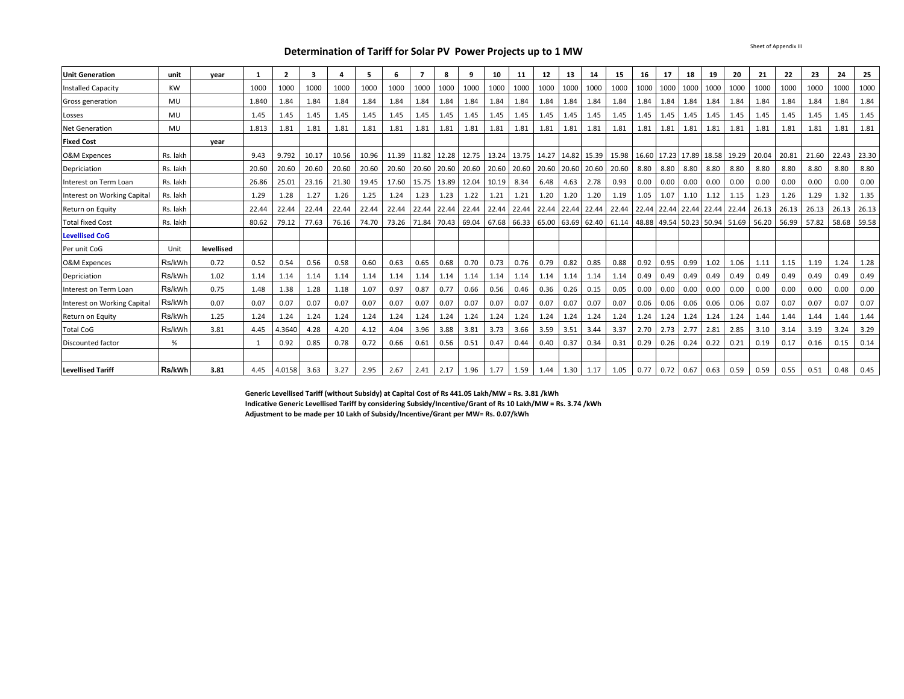**Determination of Tariff for Solar PV Power Projects up to 1 MW**

Sheet of Appendix III

| <b>Unit Generation</b>      | unit     | year       |       | $\overline{\mathbf{2}}$ | 3     |       | 5     | 6           | 7           | 8     | 9           | 10          | 11          | 12    | 13          | 14                | 15          | 16   | 17                      | 18               | 19   | 20                            | 21    | 22    | 23    | 24    | 25    |
|-----------------------------|----------|------------|-------|-------------------------|-------|-------|-------|-------------|-------------|-------|-------------|-------------|-------------|-------|-------------|-------------------|-------------|------|-------------------------|------------------|------|-------------------------------|-------|-------|-------|-------|-------|
| Installed Capacity          | KW       |            | 1000  | 1000                    | 1000  | 1000  | 1000  | 1000        | 1000        | 1000  | 1000        | 1000        | 1000        | 1000  | 1000        | 1000              | 1000        | 1000 | 1000                    | 1000             | 1000 | 1000                          | 1000  | 1000  | 1000  | 1000  | 1000  |
| Gross generation            | MU       |            | 1.840 | 1.84                    | 1.84  | 1.84  | 1.84  | 1.84        | 1.84        | 1.84  | 1.84        | 1.84        | 1.84        | 1.84  | 1.84        | 1.84              | 1.84        | 1.84 | 1.84                    | 1.84             | 1.84 | 1.84                          | 1.84  | 1.84  | 1.84  | 1.84  | 1.84  |
| Losses                      | MU       |            | 1.45  | 1.45                    | 1.45  | 1.45  | 1.45  | 1.45        | 1.45        | 1.45  | 1.45        | 1.45        | 1.45        | 1.45  | 1.45        | 1.45              | 1.45        | 1.45 | 1.45                    | 1.45             | 1.45 | 1.45                          | 1.45  | 1.45  | 1.45  | 1.45  | 1.45  |
| <b>Net Generation</b>       | MU       |            | 1.813 | 1.81                    | 1.81  | 1.81  | 1.81  | 1.81        | 1.81        | 1.81  | 1.81        | 1.81        | 1.81        | 1.81  | 1.81        | 1.81              | 1.81        | 1.81 | 1.81                    | 1.81             | 1.81 | 1.81                          | 1.81  | 1.81  | 1.81  | 1.81  | 1.81  |
| <b>Fixed Cost</b>           |          | year       |       |                         |       |       |       |             |             |       |             |             |             |       |             |                   |             |      |                         |                  |      |                               |       |       |       |       |       |
| <b>O&amp;M Expences</b>     | Rs. lakh |            | 9.43  | 9.792                   | 10.17 | 10.56 | 10.96 | 11.39 11.82 |             |       | 12.28 12.75 |             | 13.24 13.75 |       |             | 14.27 14.82 15.39 | 15.98       |      | 16.60 17.23 17.89 18.58 |                  |      | 19.29                         | 20.04 | 20.81 | 21.60 | 22.43 | 23.30 |
| Depriciation                | Rs. lakh |            | 20.60 | 20.60                   | 20.60 | 20.60 | 20.60 | 20.60       | 20.60       | 20.60 | 20.60       | 20.60 20.60 |             | 20.60 |             | 20.60 20.60       | 20.60       | 8.80 | 8.80                    | 8.80             | 8.80 | 8.80                          | 8.80  | 8.80  | 8.80  | 8.80  | 8.80  |
| Interest on Term Loan       | Rs. lakh |            | 26.86 | 25.01                   | 23.16 | 21.30 | 19.45 | 17.60       | 15.75       |       | 13.89 12.04 | 10.19       | 8.34        | 6.48  | 4.63        | 2.78              | 0.93        | 0.00 | 0.00                    | 0.00             | 0.00 | 0.00                          | 0.00  | 0.00  | 0.00  | 0.00  | 0.00  |
| Interest on Working Capital | Rs. lakh |            | 1.29  | 1.28                    | 1.27  | 1.26  | 1.25  | 1.24        | 1.23        | 1.23  | 1.22        | 1.21        | 1.21        | 1.20  | 1.20        | 1.20              | 1.19        | 1.05 | 1.07                    | 1.10             | 1.12 | 1.15                          | 1.23  | 1.26  | 1.29  | 1.32  | 1.35  |
| Return on Equity            | Rs. lakh |            | 22.44 | 22.44                   | 22.44 | 22.44 | 22.44 | 22.44       | 22.44       | 22.44 | 22.44       | 22.44       | 22.44       | 22.44 |             | 22.44 22.44       | 22.44       |      | 22.44 22.44 22.44 22.44 |                  |      | 22.44                         | 26.13 | 26.13 | 26.13 | 26.13 | 26.13 |
| <b>Total fixed Cost</b>     | Rs. lakh |            | 80.62 | 79.12                   | 77.63 | 76.16 | 74.70 |             | 73.26 71.84 |       | 70.43 69.04 |             | 67.68 66.33 | 65.00 | 63.69       |                   | 62.40 61.14 |      |                         |                  |      | 48.88 49.54 50.23 50.94 51.69 | 56.20 | 56.99 | 57.82 | 58.68 | 59.58 |
| <b>Levellised CoG</b>       |          |            |       |                         |       |       |       |             |             |       |             |             |             |       |             |                   |             |      |                         |                  |      |                               |       |       |       |       |       |
| Per unit CoG                | Unit     | levellised |       |                         |       |       |       |             |             |       |             |             |             |       |             |                   |             |      |                         |                  |      |                               |       |       |       |       |       |
| <b>O&amp;M Expences</b>     | Rs/kWh   | 0.72       | 0.52  | 0.54                    | 0.56  | 0.58  | 0.60  | 0.63        | 0.65        | 0.68  | 0.70        | 0.73        | 0.76        | 0.79  | 0.82        | 0.85              | 0.88        | 0.92 | 0.95                    | 0.99             | 1.02 | 1.06                          | 1.11  | 1.15  | 1.19  | 1.24  | 1.28  |
| Depriciation                | Rs/kWh   | 1.02       | 1.14  | 1.14                    | 1.14  | 1.14  | 1.14  | 1.14        | 1.14        | 1.14  | 1.14        | 1.14        | 1.14        | 1.14  | 1.14        | 1.14              | 1.14        | 0.49 | 0.49                    | 0.49             | 0.49 | 0.49                          | 0.49  | 0.49  | 0.49  | 0.49  | 0.49  |
| Interest on Term Loan       | Rs/kWh   | 0.75       | 1.48  | 1.38                    | 1.28  | 1.18  | 1.07  | 0.97        | 0.87        | 0.77  | 0.66        | 0.56        | 0.46        | 0.36  | 0.26        | 0.15              | 0.05        | 0.00 | 0.00                    | 0.00             | 0.00 | 0.00                          | 0.00  | 0.00  | 0.00  | 0.00  | 0.00  |
| Interest on Working Capital | Rs/kWh   | 0.07       | 0.07  | 0.07                    | 0.07  | 0.07  | 0.07  | 0.07        | 0.07        | 0.07  | 0.07        | 0.07        | 0.07        | 0.07  | 0.07        | 0.07              | 0.07        | 0.06 | 0.06                    | 0.06             | 0.06 | 0.06                          | 0.07  | 0.07  | 0.07  | 0.07  | 0.07  |
| Return on Equity            | Rs/kWh   | 1.25       | 1.24  | 1.24                    | 1.24  | 1.24  | 1.24  | 1.24        | 1.24        | 1.24  | 1.24        | 1.24        | 1.24        | 1.24  | 1.24        | 1.24              | 1.24        | 1.24 | 1.24                    | 1.24             | 1.24 | 1.24                          | 1.44  | 1.44  | 1.44  | 1.44  | 1.44  |
| <b>Total CoG</b>            | Rs/kWh   | 3.81       | 4.45  | 4.3640                  | 4.28  | 4.20  | 4.12  | 4.04        | 3.96        | 3.88  | 3.81        | 3.73        | 3.66        | 3.59  | 3.51        | 3.44              | 3.37        | 2.70 | 2.73                    | 2.77             | 2.81 | 2.85                          | 3.10  | 3.14  | 3.19  | 3.24  | 3.29  |
| Discounted factor           | %        |            |       | 0.92                    | 0.85  | 0.78  | 0.72  | 0.66        | 0.61        | 0.56  | 0.51        | 0.47        | 0.44        | 0.40  | 0.37        | 0.34              | 0.31        | 0.29 | 0.26                    | 0.24             | 0.22 | 0.21                          | 0.19  | 0.17  | 0.16  | 0.15  | 0.14  |
|                             |          |            |       |                         |       |       |       |             |             |       |             |             |             |       |             |                   |             |      |                         |                  |      |                               |       |       |       |       |       |
| <b>Levellised Tariff</b>    | Rs/kWh   | 3.81       | 4.45  | 4.0158                  | 3.63  | 3.27  | 2.95  | 2.67        | 2.41        | 2.17  | 1.96        | 1.77        | 1.59        |       | $1.44$ 1.30 | 1.17              | 1.05        | 0.77 |                         | $0.72$ 0.67 0.63 |      | 0.59                          | 0.59  | 0.55  | 0.51  | 0.48  | 0.45  |

**Generic Levellised Tariff (without Subsidy) at Capital Cost of Rs 441.05 Lakh/MW = Rs. 3.81 /kWh Indicative Generic Levellised Tariff by considering Subsidy/Incentive/Grant of Rs 10 Lakh/MW = Rs. 3.74 /kWh Adjustment to be made per 10 Lakh of Subsidy/Incentive/Grant per MW= Rs. 0.07/kWh**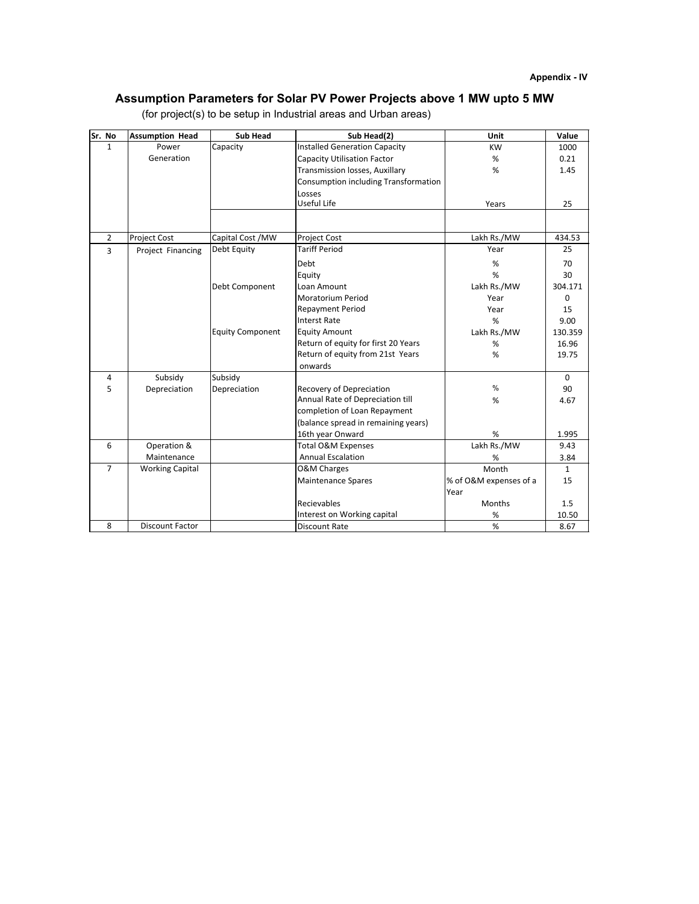# **Assumption Parameters for Solar PV Power Projects above 1 MW upto 5 MW**

| Sr. No         | <b>Assumption Head</b> | <b>Sub Head</b>         | Sub Head(2)                          | Unit                   | Value    |
|----------------|------------------------|-------------------------|--------------------------------------|------------------------|----------|
| $\mathbf{1}$   | Power                  | Capacity                | <b>Installed Generation Capacity</b> | <b>KW</b>              | 1000     |
|                | Generation             |                         | <b>Capacity Utilisation Factor</b>   | %                      | 0.21     |
|                |                        |                         | Transmission losses, Auxillary       | %                      | 1.45     |
|                |                        |                         | Consumption including Transformation |                        |          |
|                |                        |                         | Losses                               |                        |          |
|                |                        |                         | Useful Life                          | Years                  | 25       |
|                |                        |                         |                                      |                        |          |
| $\overline{2}$ | <b>Project Cost</b>    | Capital Cost / MW       | Project Cost                         | Lakh Rs./MW            | 434.53   |
| $\overline{3}$ | Project Financing      | Debt Equity             | <b>Tariff Period</b>                 | Year                   | 25       |
|                |                        |                         | Debt                                 | %                      | 70       |
|                |                        |                         | Equity                               | %                      | 30       |
|                |                        | Debt Component          | Loan Amount                          | Lakh Rs./MW            | 304.171  |
|                |                        |                         | <b>Moratorium Period</b>             | Year                   | $\Omega$ |
|                |                        |                         | <b>Repayment Period</b>              | Year                   | 15       |
|                |                        |                         | <b>Interst Rate</b>                  | %                      | 9.00     |
|                |                        | <b>Equity Component</b> | <b>Equity Amount</b>                 | Lakh Rs./MW            | 130.359  |
|                |                        |                         | Return of equity for first 20 Years  | %                      | 16.96    |
|                |                        |                         | Return of equity from 21st Years     | %                      | 19.75    |
|                |                        |                         | onwards                              |                        |          |
| 4              | Subsidy                | Subsidy                 |                                      |                        | $\Omega$ |
| 5              | Depreciation           | Depreciation            | <b>Recovery of Depreciation</b>      | $\frac{0}{0}$          | 90       |
|                |                        |                         | Annual Rate of Depreciation till     | %                      | 4.67     |
|                |                        |                         | completion of Loan Repayment         |                        |          |
|                |                        |                         | (balance spread in remaining years)  |                        |          |
|                |                        |                         | 16th year Onward                     | %                      | 1.995    |
| 6              | Operation &            |                         | <b>Total O&amp;M Expenses</b>        | Lakh Rs./MW            | 9.43     |
|                | Maintenance            |                         | <b>Annual Escalation</b>             | %                      | 3.84     |
| $\overline{7}$ | <b>Working Capital</b> |                         | <b>O&amp;M Charges</b>               | Month                  | 1        |
|                |                        |                         | <b>Maintenance Spares</b>            | % of O&M expenses of a | 15       |
|                |                        |                         |                                      | Year                   |          |
|                |                        |                         | Recievables                          | Months                 | 1.5      |
|                |                        |                         | Interest on Working capital          | $\%$                   | 10.50    |
| 8              | <b>Discount Factor</b> |                         | <b>Discount Rate</b>                 | %                      | 8.67     |

(for project(s) to be setup in Industrial areas and Urban areas)